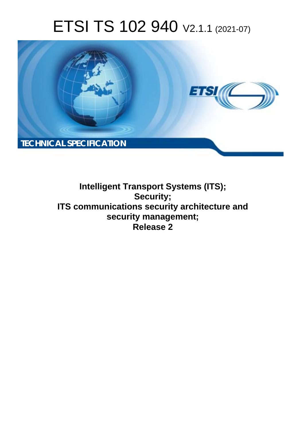# ETSI TS 102 940 V2.1.1 (2021-07)



**Intelligent Transport Systems (ITS); Security; ITS communications security architecture and security management; Release 2**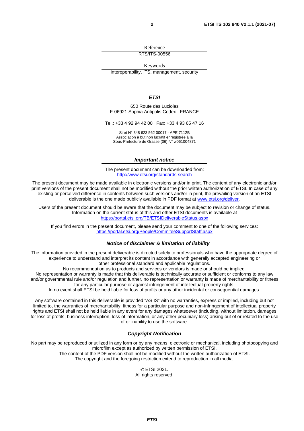Reference

RTS/ITS-00556

Keywords

interoperability, ITS, management, security

#### *ETSI*

650 Route des Lucioles F-06921 Sophia Antipolis Cedex - FRANCE

Tel.: +33 4 92 94 42 00 Fax: +33 4 93 65 47 16

Siret N° 348 623 562 00017 - APE 7112B Association à but non lucratif enregistrée à la Sous-Préfecture de Grasse (06) N° w061004871

#### *Important notice*

The present document can be downloaded from: <http://www.etsi.org/standards-search>

The present document may be made available in electronic versions and/or in print. The content of any electronic and/or print versions of the present document shall not be modified without the prior written authorization of ETSI. In case of any existing or perceived difference in contents between such versions and/or in print, the prevailing version of an ETSI deliverable is the one made publicly available in PDF format at [www.etsi.org/deliver](http://www.etsi.org/deliver).

Users of the present document should be aware that the document may be subject to revision or change of status. Information on the current status of this and other ETSI documents is available at <https://portal.etsi.org/TB/ETSIDeliverableStatus.aspx>

If you find errors in the present document, please send your comment to one of the following services: <https://portal.etsi.org/People/CommiteeSupportStaff.aspx>

#### *Notice of disclaimer & limitation of liability*

The information provided in the present deliverable is directed solely to professionals who have the appropriate degree of experience to understand and interpret its content in accordance with generally accepted engineering or other professional standard and applicable regulations.

No recommendation as to products and services or vendors is made or should be implied.

No representation or warranty is made that this deliverable is technically accurate or sufficient or conforms to any law and/or governmental rule and/or regulation and further, no representation or warranty is made of merchantability or fitness for any particular purpose or against infringement of intellectual property rights.

In no event shall ETSI be held liable for loss of profits or any other incidental or consequential damages.

Any software contained in this deliverable is provided "AS IS" with no warranties, express or implied, including but not limited to, the warranties of merchantability, fitness for a particular purpose and non-infringement of intellectual property rights and ETSI shall not be held liable in any event for any damages whatsoever (including, without limitation, damages for loss of profits, business interruption, loss of information, or any other pecuniary loss) arising out of or related to the use of or inability to use the software.

#### *Copyright Notification*

No part may be reproduced or utilized in any form or by any means, electronic or mechanical, including photocopying and microfilm except as authorized by written permission of ETSI. The content of the PDF version shall not be modified without the written authorization of ETSI.

The copyright and the foregoing restriction extend to reproduction in all media.

© ETSI 2021. All rights reserved.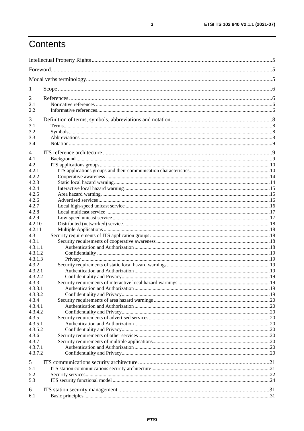# Contents

| $\mathbf{I}$       |  |  |  |  |  |
|--------------------|--|--|--|--|--|
| 2                  |  |  |  |  |  |
| 2.1                |  |  |  |  |  |
| 2.2                |  |  |  |  |  |
| 3                  |  |  |  |  |  |
| 3.1                |  |  |  |  |  |
| 3.2                |  |  |  |  |  |
| 3.3                |  |  |  |  |  |
| 3.4                |  |  |  |  |  |
|                    |  |  |  |  |  |
| 4<br>4.1           |  |  |  |  |  |
| 4.2                |  |  |  |  |  |
| 4.2.1              |  |  |  |  |  |
| 4.2.2              |  |  |  |  |  |
| 4.2.3              |  |  |  |  |  |
| 4.2.4              |  |  |  |  |  |
| 4.2.5              |  |  |  |  |  |
| 4.2.6              |  |  |  |  |  |
| 4.2.7              |  |  |  |  |  |
| 4.2.8              |  |  |  |  |  |
| 4.2.9              |  |  |  |  |  |
| 4.2.10             |  |  |  |  |  |
| 4.2.11             |  |  |  |  |  |
| 4.3                |  |  |  |  |  |
| 4.3.1              |  |  |  |  |  |
| 4.3.1.1            |  |  |  |  |  |
| 4.3.1.2            |  |  |  |  |  |
| 4.3.1.3<br>4.3.2   |  |  |  |  |  |
| 4.3.2.1            |  |  |  |  |  |
| 4.3.2.2            |  |  |  |  |  |
| 4.3.3              |  |  |  |  |  |
| 4.3.3.1            |  |  |  |  |  |
| 4.3.3.2            |  |  |  |  |  |
| 4.3.4              |  |  |  |  |  |
| 4.3.4.1            |  |  |  |  |  |
| 4.3.4.2            |  |  |  |  |  |
| 4.3.5              |  |  |  |  |  |
| 4.3.5.1            |  |  |  |  |  |
| 4.3.5.2            |  |  |  |  |  |
| 4.3.6              |  |  |  |  |  |
| 4.3.7              |  |  |  |  |  |
| 4.3.7.1<br>4.3.7.2 |  |  |  |  |  |
|                    |  |  |  |  |  |
| 5                  |  |  |  |  |  |
| 5.1                |  |  |  |  |  |
| 5.2                |  |  |  |  |  |
| 5.3                |  |  |  |  |  |
| 6                  |  |  |  |  |  |
| 6.1                |  |  |  |  |  |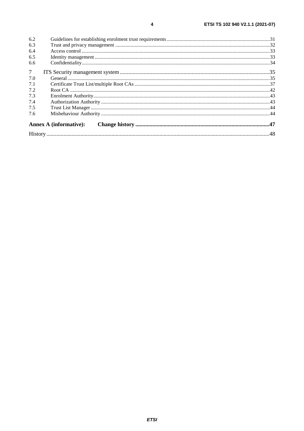| 6.2             |                               |  |  |
|-----------------|-------------------------------|--|--|
| 6.3             |                               |  |  |
| 6.4             |                               |  |  |
| 6.5             |                               |  |  |
| 6.6             |                               |  |  |
| $7\overline{ }$ |                               |  |  |
| 7.0             |                               |  |  |
| 7.1             |                               |  |  |
| 7.2             |                               |  |  |
| 7.3             |                               |  |  |
| 7.4             |                               |  |  |
| 7.5             |                               |  |  |
| 7.6             |                               |  |  |
|                 | <b>Annex A (informative):</b> |  |  |
|                 |                               |  |  |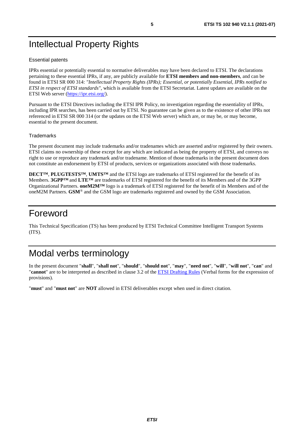# <span id="page-4-0"></span>Intellectual Property Rights

#### Essential patents

IPRs essential or potentially essential to normative deliverables may have been declared to ETSI. The declarations pertaining to these essential IPRs, if any, are publicly available for **ETSI members and non-members**, and can be found in ETSI SR 000 314: *"Intellectual Property Rights (IPRs); Essential, or potentially Essential, IPRs notified to ETSI in respect of ETSI standards"*, which is available from the ETSI Secretariat. Latest updates are available on the ETSI Web server ([https://ipr.etsi.org/\)](https://ipr.etsi.org/).

Pursuant to the ETSI Directives including the ETSI IPR Policy, no investigation regarding the essentiality of IPRs, including IPR searches, has been carried out by ETSI. No guarantee can be given as to the existence of other IPRs not referenced in ETSI SR 000 314 (or the updates on the ETSI Web server) which are, or may be, or may become, essential to the present document.

#### **Trademarks**

The present document may include trademarks and/or tradenames which are asserted and/or registered by their owners. ETSI claims no ownership of these except for any which are indicated as being the property of ETSI, and conveys no right to use or reproduce any trademark and/or tradename. Mention of those trademarks in the present document does not constitute an endorsement by ETSI of products, services or organizations associated with those trademarks.

**DECT™**, **PLUGTESTS™**, **UMTS™** and the ETSI logo are trademarks of ETSI registered for the benefit of its Members. **3GPP™** and **LTE™** are trademarks of ETSI registered for the benefit of its Members and of the 3GPP Organizational Partners. **oneM2M™** logo is a trademark of ETSI registered for the benefit of its Members and of the oneM2M Partners. **GSM**® and the GSM logo are trademarks registered and owned by the GSM Association.

# Foreword

This Technical Specification (TS) has been produced by ETSI Technical Committee Intelligent Transport Systems (ITS).

# Modal verbs terminology

In the present document "**shall**", "**shall not**", "**should**", "**should not**", "**may**", "**need not**", "**will**", "**will not**", "**can**" and "**cannot**" are to be interpreted as described in clause 3.2 of the [ETSI Drafting Rules](https://portal.etsi.org/Services/editHelp!/Howtostart/ETSIDraftingRules.aspx) (Verbal forms for the expression of provisions).

"**must**" and "**must not**" are **NOT** allowed in ETSI deliverables except when used in direct citation.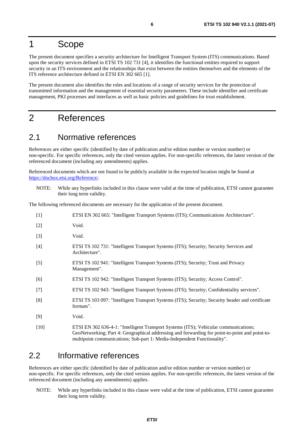# <span id="page-5-0"></span>1 Scope

The present document specifies a security architecture for Intelligent Transport System (ITS) communications. Based upon the security services defined in ETSI TS 102 731 [4], it identifies the functional entities required to support security in an ITS environment and the relationships that exist between the entities themselves and the elements of the ITS reference architecture defined in ETSI EN 302 665 [1].

The present document also identifies the roles and locations of a range of security services for the protection of transmitted information and the management of essential security parameters. These include identifier and certificate management, PKI processes and interfaces as well as basic policies and guidelines for trust establishment.

# 2 References

### 2.1 Normative references

References are either specific (identified by date of publication and/or edition number or version number) or non-specific. For specific references, only the cited version applies. For non-specific references, the latest version of the referenced document (including any amendments) applies.

Referenced documents which are not found to be publicly available in the expected location might be found at <https://docbox.etsi.org/Reference/>.

NOTE: While any hyperlinks included in this clause were valid at the time of publication, ETSI cannot guarantee their long term validity.

The following referenced documents are necessary for the application of the present document.

| $[1]$  | ETSI EN 302 665: "Intelligent Transport Systems (ITS); Communications Architecture".                                                                                                                                                                               |
|--------|--------------------------------------------------------------------------------------------------------------------------------------------------------------------------------------------------------------------------------------------------------------------|
| $[2]$  | Void.                                                                                                                                                                                                                                                              |
| $[3]$  | Void.                                                                                                                                                                                                                                                              |
| $[4]$  | ETSI TS 102 731: "Intelligent Transport Systems (ITS); Security; Security Services and<br>Architecture".                                                                                                                                                           |
| $[5]$  | ETSI TS 102 941: "Intelligent Transport Systems (ITS); Security; Trust and Privacy<br>Management".                                                                                                                                                                 |
| [6]    | ETSI TS 102 942: "Intelligent Transport Systems (ITS); Security; Access Control".                                                                                                                                                                                  |
| $[7]$  | ETSI TS 102 943: "Intelligent Transport Systems (ITS); Security; Confidentiality services".                                                                                                                                                                        |
| [8]    | ETSI TS 103 097: "Intelligent Transport Systems (ITS); Security; Security header and certificate<br>formats".                                                                                                                                                      |
| $[9]$  | Void.                                                                                                                                                                                                                                                              |
| $[10]$ | ETSI EN 302 636-4-1: "Intelligent Transport Systems (ITS); Vehicular communications;<br>GeoNetworking; Part 4: Geographical addressing and forwarding for point-to-point and point-to-<br>multipoint communications; Sub-part 1: Media-Independent Functionality". |

### 2.2 Informative references

References are either specific (identified by date of publication and/or edition number or version number) or non-specific. For specific references, only the cited version applies. For non-specific references, the latest version of the referenced document (including any amendments) applies.

NOTE: While any hyperlinks included in this clause were valid at the time of publication, ETSI cannot guarantee their long term validity.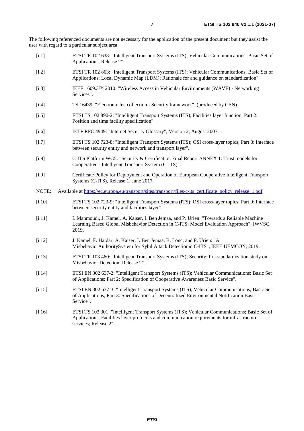<span id="page-6-0"></span>The following referenced documents are not necessary for the application of the present document but they assist the user with regard to a particular subject area.

- [i.1] ETSI TR 102 638: "Intelligent Transport Systems (ITS); Vehicular Communications; Basic Set of Applications; Release 2".
- [i.2] ETSI TR 102 863: "Intelligent Transport Systems (ITS); Vehicular Communications; Basic Set of Applications; Local Dynamic Map (LDM); Rationale for and guidance on standardization".
- [i.3] IEEE 1609.3™ 2010: "Wireless Access in Vehicular Environments (WAVE) Networking Services".
- [i.4] TS 16439: "Electronic fee collection Security framework", (produced by CEN).
- [i.5] ETSI TS 102 890-2: "Intelligent Transport Systems (ITS); Facilities layer function; Part 2: Position and time facility specification".
- [i.6] IETF RFC 4949: "Internet Security Glossary", Version 2, August 2007.
- [i.7] ETSI TS 102 723-8: "Intelligent Transport Systems (ITS); OSI cross-layer topics; Part 8: Interface between security entity and network and transport layer".
- [i.8] C-ITS Platform WG5: "Security & Certification Final Report ANNEX 1: Trust models for Cooperative - Intelligent Transport System (C-ITS)".
- [i.9] Certificate Policy for Deployment and Operation of European Cooperative Intelligent Transport Systems (C-ITS), Release 1, June 2017.
- NOTE: Available at [https://ec.europa.eu/transport/sites/transport/files/c-its\\_certificate\\_policy\\_release\\_1.pdf.](https://ec.europa.eu/transport/sites/transport/files/c-its_certificate_policy_release_1.pdf)
- [i.10] ETSI TS 102 723-9: "Intelligent Transport Systems (ITS); OSI cross-layer topics; Part 9: Interface between security entity and facilities layer".
- [i.11] I. Mahmoudi, J. Kamel, A. Kaiser, I. Ben Jemaa, and P. Urien: "Towards a Reliable Machine Learning Based Global Misbehavior Detection in C-ITS: Model Evaluation Approach", IWVSC, 2019.
- [i.12] J. Kamel, F. Haidar, A. Kaiser, I. Ben Jemaa, B. Lonc, and P. Urien: "A MisbehaviorAuthoritySystem for Sybil Attack Detectionin C-ITS", IEEE UEMCON, 2019.
- [i.13] ETSI TR 103 460: "Intelligent Transport Systems (ITS); Security; Pre-standardization study on Misbehavior Detection; Release 2".
- [i.14] ETSI EN 302 637-2: "Intelligent Transport Systems (ITS); Vehicular Communications; Basic Set of Applications; Part 2: Specification of Cooperative Awareness Basic Service".
- [i.15] ETSI EN 302 637-3: "Intelligent Transport Systems (ITS); Vehicular Communications; Basic Set of Applications; Part 3: Specifications of Decentralized Environmental Notification Basic Service".
- [i.16] ETSI TS 103 301: "Intelligent Transport Systems (ITS); Vehicular Communications; Basic Set of Applications; Facilities layer protocols and communication requirements for infrastructure services; Release 2".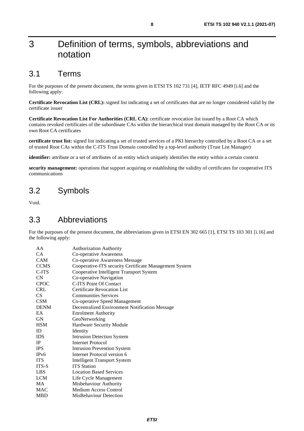# <span id="page-7-0"></span>3 Definition of terms, symbols, abbreviations and notation

### 3.1 Terms

For the purposes of the present document, the terms given in ETSI TS 102 731 [[4\]](#page-5-0), IETF RFC 4949 [[i.6](#page-6-0)] and the following apply:

**Certificate Revocation List (CRL):** signed list indicating a set of certificates that are no longer considered valid by the certificate issuer

**Certificate Revocation List For Authorities (CRL CA):** certificate revocation list issued by a Root CA which contains revoked certificates of the subordinate CAs within the hierarchical trust domain managed by the Root CA or its own Root CA certificates

**certificate trust list:** signed list indicating a set of trusted services of a PKI hierarchy controlled by a Root CA or a set of trusted Root CAs within the C-ITS Trust Domain controlled by a top-level authority (Trust List Manager)

**identifier:** attribute or a set of attributes of an entity which uniquely identifies the entity within a certain context

**security management:** operations that support acquiring or establishing the validity of certificates for cooperative ITS communications

# 3.2 Symbols

Void.

### 3.3 Abbreviations

For the purposes of the present document, the abbreviations given in ETSI EN 302 665 [\[1](#page-5-0)], ETSI TS 103 301 [\[i.16](#page-6-0)] and the following apply:

| AA                | <b>Authorization Authority</b>                         |
|-------------------|--------------------------------------------------------|
| <b>CA</b>         | Co-operative Awareness                                 |
| <b>CAM</b>        | Co-operative Awareness Message                         |
| <b>CCMS</b>       | Cooperative-ITS security Certificate Management System |
| C-ITS             | Cooperative Intelligent Transport System               |
| <b>CN</b>         | Co-operative Navigation                                |
| <b>CPOC</b>       | C-ITS Point Of Contact                                 |
| <b>CRL</b>        | <b>Certificate Revocation List</b>                     |
| CS.               | <b>Communities Services</b>                            |
| <b>CSM</b>        | Co-operative Speed Management                          |
| <b>DENM</b>       | Decentralized Environment Notification Message         |
| EA                | <b>Enrolment Authority</b>                             |
| <b>GN</b>         | GeoNetworking                                          |
| <b>HSM</b>        | Hardware Security Module                               |
| ID                | Identity                                               |
| <b>IDS</b>        | <b>Intrusion Detection System</b>                      |
| IP                | Internet Protocol                                      |
| <b>IPS</b>        | <b>Intrusion Prevention System</b>                     |
| IP <sub>v</sub> 6 | Internet Protocol version 6                            |
| <b>ITS</b>        | <b>Intelligent Transport System</b>                    |
| ITS-S             | <b>ITS</b> Station                                     |
| LBS               | <b>Location Based Services</b>                         |
| LCM               | Life Cycle Management                                  |
| MA                | Misbehaviour Authority                                 |
| <b>MAC</b>        | Medium Access Control                                  |
| <b>MBD</b>        | MisBehaviour Detection                                 |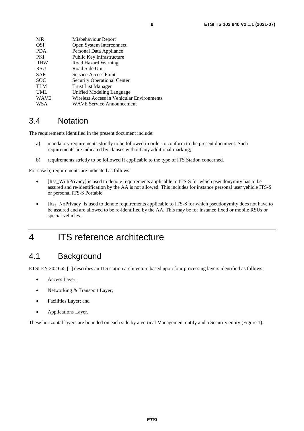<span id="page-8-0"></span>

| MR   | Misbehaviour Report                       |
|------|-------------------------------------------|
| OSI  | Open System Interconnect                  |
| PDA  | Personal Data Appliance                   |
| PKI  | Public Key Infrastructure                 |
| RHW  | Road Hazard Warning                       |
| RSU  | Road Side Unit                            |
| SAP  | Service Access Point                      |
| SOC  | <b>Security Operational Center</b>        |
| TLM  | <b>Trust List Manager</b>                 |
| UML  | Unified Modeling Language                 |
| WAVE | Wireless Access in Vehicular Environments |
| WSA  | <b>WAVE Service Announcement</b>          |
|      |                                           |

### 3.4 Notation

The requirements identified in the present document include:

- a) mandatory requirements strictly to be followed in order to conform to the present document. Such requirements are indicated by clauses without any additional marking;
- b) requirements strictly to be followed if applicable to the type of ITS Station concerned.

For case b) requirements are indicated as follows:

- [Itss\_WithPrivacy] is used to denote requirements applicable to ITS-S for which pseudonymity has to be assured and re-identification by the AA is not allowed. This includes for instance personal user vehicle ITS-S or personal ITS-S Portable.
- [Itss\_NoPrivacy] is used to denote requirements applicable to ITS-S for which pseudonymity does not have to be assured and are allowed to be re-identified by the AA. This may be for instance fixed or mobile RSUs or special vehicles.

# 4 ITS reference architecture

# 4.1 Background

ETSI EN 302 665 [\[1](#page-5-0)] describes an ITS station architecture based upon four processing layers identified as follows:

- Access Layer;
- Networking & Transport Layer;
- Facilities Layer; and
- Applications Layer.

These horizontal layers are bounded on each side by a vertical Management entity and a Security entity [\(Figure 1\)](#page-9-0).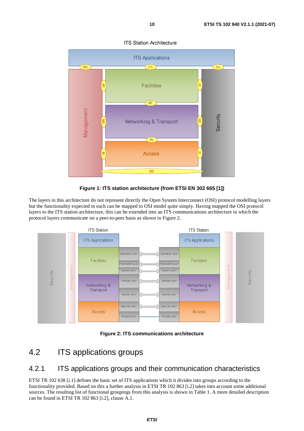<span id="page-9-0"></span>

**ITS Station Architecture** 



The layers in this architecture do not represent directly the Open System Interconnect (OSI) protocol modelling layers but the functionality expected in each can be mapped to OSI model quite simply. Having mapped the OSI protocol layers to the ITS station architecture, this can be extended into an ITS communications architecture in which the protocol layers communicate on a peer-to-peer basis as shown in Figure 2.





# 4.2 ITS applications groups

### 4.2.1 ITS applications groups and their communication characteristics

ETSI TR 102 638 [[i.1](#page-6-0)] defines the basic set of ITS applications which it divides into groups according to the functionality provided. Based on this a further analysis in ETSI TR 102 863 [\[i.2](#page-6-0)] takes into account some additional sources. The resulting list of functional groupings from this analysis is shown in Table 1. A more detailed description can be found in ETSI TR 102 863 [\[i.2\]](#page-6-0), clause A.1.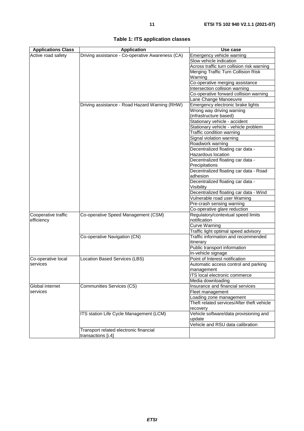| <b>Applications Class</b>      | <b>Application</b>                               | Use case                                                              |
|--------------------------------|--------------------------------------------------|-----------------------------------------------------------------------|
| Active road safety             | Driving assistance - Co-operative Awareness (CA) | Emergency vehicle warning                                             |
|                                |                                                  | Slow vehicle indication                                               |
|                                |                                                  | Across traffic turn collision risk warning                            |
|                                |                                                  | Merging Traffic Turn Collision Risk                                   |
|                                |                                                  | Warning                                                               |
|                                |                                                  | Co-operative merging assistance                                       |
|                                |                                                  | Intersection collision warning                                        |
|                                |                                                  | Co-operative forward collision warning                                |
|                                |                                                  | Lane Change Manoeuvre                                                 |
|                                | Driving assistance - Road Hazard Warning (RHW)   | Emergency electronic brake lights                                     |
|                                |                                                  | Wrong way driving warning                                             |
|                                |                                                  | (infrastructure based)                                                |
|                                |                                                  | Stationary vehicle - accident                                         |
|                                |                                                  | Stationary vehicle - vehicle problem                                  |
|                                |                                                  | Traffic condition warning                                             |
|                                |                                                  | Signal violation warning                                              |
|                                |                                                  | Roadwork warning                                                      |
|                                |                                                  | Decentralized floating car data -                                     |
|                                |                                                  | Hazardous location                                                    |
|                                |                                                  | Decentralized floating car data -                                     |
|                                |                                                  | Precipitations                                                        |
|                                |                                                  | Decentralized floating car data - Road                                |
|                                |                                                  | adhesion                                                              |
|                                |                                                  | Decentralized floating car data -                                     |
|                                |                                                  | Visibility                                                            |
|                                |                                                  | Decentralized floating car data - Wind                                |
|                                |                                                  | Vulnerable road user Warning                                          |
|                                |                                                  | Pre-crash sensing warning                                             |
|                                |                                                  | Co-operative glare reduction                                          |
| Cooperative traffic            | Co-operative Speed Management (CSM)              | Regulatory/contextual speed limits                                    |
| efficiency                     |                                                  | notification                                                          |
|                                |                                                  | <b>Curve Warning</b>                                                  |
|                                |                                                  | Traffic light optimal speed advisory                                  |
|                                | Co-operative Navigation (CN)                     | Traffic information and recommended                                   |
|                                |                                                  | itinerary                                                             |
|                                |                                                  | Public transport information                                          |
|                                |                                                  | In-vehicle signage<br>Point of Interest notification                  |
| Co-operative local<br>services | Location Based Services (LBS)                    |                                                                       |
|                                |                                                  | Automatic access control and parking<br>management                    |
|                                |                                                  | ITS local electronic commerce                                         |
|                                |                                                  | Media downloading                                                     |
| Global internet                | Communities Services (CS)                        | Insurance and financial services                                      |
| services                       |                                                  |                                                                       |
|                                |                                                  | Fleet management                                                      |
|                                |                                                  | Loading zone management<br>Theft related services/After theft vehicle |
|                                |                                                  |                                                                       |
|                                | ITS station Life Cycle Management (LCM)          | recovery<br>Vehicle software/data provisioning and                    |
|                                |                                                  | update                                                                |
|                                |                                                  | Vehicle and RSU data calibration                                      |
|                                | Transport related electronic financial           |                                                                       |
|                                | transactions [i.4]                               |                                                                       |
|                                |                                                  |                                                                       |

| Table 1: ITS application classes |  |  |
|----------------------------------|--|--|
|----------------------------------|--|--|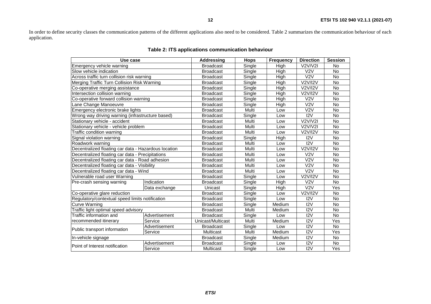In order to define security classes the communication patterns of the different applications also need to be considered. Table 2 summarizes the communication behaviour of each application.

| Use case                                             |               | <b>Addressing</b> | <b>Hops</b> | <b>Frequency</b> | <b>Direction</b>        | <b>Session</b> |
|------------------------------------------------------|---------------|-------------------|-------------|------------------|-------------------------|----------------|
| Emergency vehicle warning                            |               |                   | Single      | Hiah             | V2V/V2I                 | <b>No</b>      |
| Slow vehicle indication                              |               | <b>Broadcast</b>  | Single      | High             | V2V                     | <b>No</b>      |
| Across traffic turn collision risk warning           |               | <b>Broadcast</b>  | Single      | High             | V <sub>2</sub> V        | No             |
| Merging Traffic Turn Collision Risk Warning          |               | <b>Broadcast</b>  | Single      | High             | V2V/I2V                 | No             |
| Co-operative merging assistance                      |               | <b>Broadcast</b>  | Single      | High             | V2V/I2V                 | No             |
| Intersection collision warning                       |               | <b>Broadcast</b>  | Single      | High             | <b>V2V/I2V</b>          | No             |
| Co-operative forward collision warning               |               | <b>Broadcast</b>  | Single      | High             | V <sub>2</sub> V        | No             |
| Lane Change Manoeuvre                                |               | <b>Broadcast</b>  | Single      | High             | V <sub>2</sub> V        | No             |
| Emergency electronic brake lights                    |               | <b>Broadcast</b>  | Multi       | Low              | V2V                     | <b>No</b>      |
| Wrong way driving warning (infrastructure based)     |               | <b>Broadcast</b>  | Single      | Low              | 12V                     | No             |
| Stationary vehicle - accident                        |               | <b>Broadcast</b>  | Multi       | Low              | V2V/V2I                 | No             |
| Stationary vehicle - vehicle problem                 |               | <b>Broadcast</b>  | Multi       | Low              | V2V/V2I                 | No             |
| Traffic condition warning                            |               | <b>Broadcast</b>  | Multi       | Low              | V2V/I2V                 | <b>No</b>      |
| Signal violation warning                             |               | <b>Broadcast</b>  | Single      | High             | 12V                     | No             |
| Roadwork warning                                     |               | <b>Broadcast</b>  | Multi       | Low              | 12V                     | No             |
| Decentralized floating car data - Hazardous location |               | <b>Broadcast</b>  | Multi       | Low              | <b>V2V/I2V</b>          | <b>No</b>      |
| Decentralized floating car data - Precipitations     |               | <b>Broadcast</b>  | Multi       | Low              | V <sub>2</sub> V        | No             |
| Decentralized floating car data - Road adhesion      |               | <b>Broadcast</b>  | Multi       | Low              | $\overline{\text{V2V}}$ | No             |
| Decentralized floating car data - Visibility         |               | <b>Broadcast</b>  | Multi       | Low              | $\overline{\text{V2V}}$ | No             |
| Decentralized floating car data - Wind               |               | <b>Broadcast</b>  | Multi       | Low              | V <sub>2</sub> V        | No             |
| Vulnerable road user Warning                         |               | <b>Broadcast</b>  | Single      | Low              | V2V/I2V                 | No             |
| Pre-crash sensing warning                            | Indication    | <b>Broadcast</b>  | Single      | High             | V <sub>2</sub> V        | $\overline{N}$ |
|                                                      | Data exchange | Unicast           | Single      | High             | V2V                     | Yes            |
| Co-operative glare reduction                         |               | <b>Broadcast</b>  | Single      | Low              | V2V/I2V                 | <b>No</b>      |
| Regulatory/contextual speed limits notification      |               | <b>Broadcast</b>  | Single      | Low              | 12V                     | No             |
| <b>Curve Warning</b>                                 |               |                   | Single      | Medium           | 12V                     | No             |
| Traffic light optimal speed advisory                 |               | <b>Broadcast</b>  | Multi       | Medium           | 12V                     | No             |
| Traffic information and                              | Advertisement | <b>Broadcast</b>  | Single      | Low              | 12V                     | No             |
| recommended itinerary                                | Service       | Unicast/Multicast | Multi       | Medium           | 12V                     | Yes            |
| Public transport information                         | Advertisement | <b>Broadcast</b>  | Single      | Low              | 12V                     | <b>No</b>      |
|                                                      | Service       | Multicast         | Multi       | Medium           | 12V                     | Yes            |
| In-vehicle signage                                   |               | <b>Broadcast</b>  | Single      | Medium           | 12V                     | No             |
| Point of Interest notification                       | Advertisement | <b>Broadcast</b>  | Single      | Low              | 12V                     | No             |
|                                                      | Service       | <b>Multicast</b>  | Single      | Low              | 12V                     | Yes            |

#### **Table 2: ITS applications communication behaviour**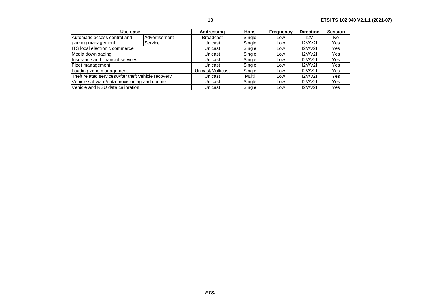| Use case                                            |               | Addressing        | <b>Hops</b> | <b>Frequency</b> | <b>Direction</b> | <b>Session</b> |
|-----------------------------------------------------|---------------|-------------------|-------------|------------------|------------------|----------------|
| Automatic access control and                        | Advertisement | <b>Broadcast</b>  | Single      | Low              | I <sub>2</sub> V | No             |
| parking management                                  | Service       | Unicast           | Single      | Low              | 12V/V2I          | Yes            |
| ITS local electronic commerce                       |               | Unicast           | Single      | Low              | 12V/V2I          | Yes            |
| Media downloading                                   |               | Unicast           | Single      | Low              | 12V/V2I          | Yes            |
| Insurance and financial services                    |               | Unicast           | Single      | Low              | 12V/V2I          | Yes            |
| Fleet management                                    |               | Unicast           | Single      | Low              | 12V/V2I          | Yes            |
| Loading zone management                             |               | Unicast/Multicast | Single      | Low              | 12V/V2I          | Yes            |
| Theft related services/After theft vehicle recovery |               | Unicast           | Multi       | Low              | 12V/V2I          | Yes            |
| Vehicle software/data provisioning and update       |               | Unicast           | Single      | Low              | 12V/V2I          | Yes            |
| Vehicle and RSU data calibration                    |               | Unicast           | Single      | Low              | 12V/V2I          | Yes            |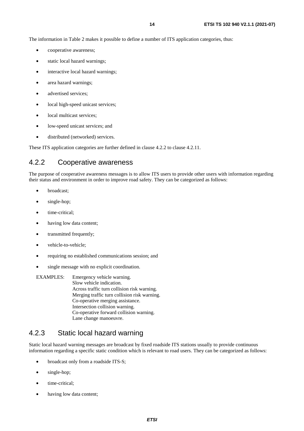<span id="page-13-0"></span>The information in Table 2 makes it possible to define a number of ITS application categories, thus:

- cooperative awareness;
- static local hazard warnings;
- interactive local hazard warnings;
- area hazard warnings;
- advertised services:
- local high-speed unicast services;
- local multicast services;
- low-speed unicast services; and
- distributed (networked) services.

These ITS application categories are further defined in clause 4.2.2 to clause 4.2.11.

### 4.2.2 Cooperative awareness

The purpose of cooperative awareness messages is to allow ITS users to provide other users with information regarding their status and environment in order to improve road safety. They can be categorized as follows:

- broadcast;
- single-hop;
- time-critical;
- having low data content;
- transmitted frequently:
- vehicle-to-vehicle;
- requiring no established communications session; and
- single message with no explicit coordination.
- EXAMPLES: Emergency vehicle warning. Slow vehicle indication. Across traffic turn collision risk warning. Merging traffic turn collision risk warning. Co-operative merging assistance. Intersection collision warning. Co-operative forward collision warning. Lane change manoeuvre.

### 4.2.3 Static local hazard warning

Static local hazard warning messages are broadcast by fixed roadside ITS stations usually to provide continuous information regarding a specific static condition which is relevant to road users. They can be categorized as follows:

- broadcast only from a roadside ITS-S;
- single-hop;
- time-critical;
- having low data content;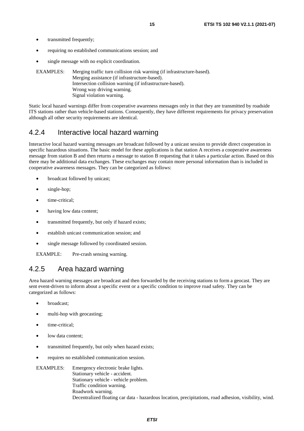- <span id="page-14-0"></span>• transmitted frequently;
- requiring no established communications session; and
- single message with no explicit coordination.

EXAMPLES: Merging traffic turn collision risk warning (if infrastructure-based). Merging assistance (if infrastructure-based). Intersection collision warning (if infrastructure-based). Wrong way driving warning. Signal violation warning.

Static local hazard warnings differ from cooperative awareness messages only in that they are transmitted by roadside ITS stations rather than vehicle-based stations. Consequently, they have different requirements for privacy preservation although all other security requirements are identical.

### 4.2.4 Interactive local hazard warning

Interactive local hazard warning messages are broadcast followed by a unicast session to provide direct cooperation in specific hazardous situations. The basic model for these applications is that station A receives a cooperative awareness message from station B and then returns a message to station B requesting that it takes a particular action. Based on this there may be additional data exchanges. These exchanges may contain more personal information than is included in cooperative awareness messages. They can be categorized as follows:

- broadcast followed by unicast;
- single-hop;
- time-critical;
- having low data content;
- transmitted frequently, but only if hazard exists;
- establish unicast communication session; and
- single message followed by coordinated session.

EXAMPLE: Pre-crash sensing warning.

### 4.2.5 Area hazard warning

Area hazard warning messages are broadcast and then forwarded by the receiving stations to form a geocast. They are sent event-driven to inform about a specific event or a specific condition to improve road safety. They can be categorized as follows:

- broadcast;
- multi-hop with geocasting;
- time-critical;
- low data content;
- transmitted frequently, but only when hazard exists;
- requires no established communication session.
- EXAMPLES: Emergency electronic brake lights. Stationary vehicle - accident. Stationary vehicle - vehicle problem. Traffic condition warning. Roadwork warning. Decentralized floating car data - hazardous location, precipitations, road adhesion, visibility, wind.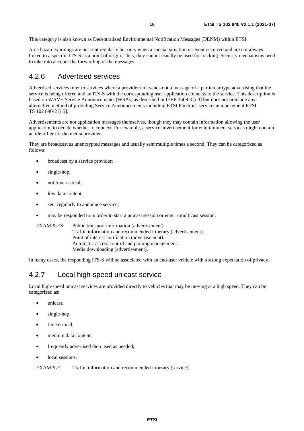<span id="page-15-0"></span>This category is also known as Decentralized Environmental Notification Messages (DENM) within ETSI.

Area hazard warnings are not sent regularly but only when a special situation or event occurred and are not always linked to a specific ITS-S as a point of origin. Thus, they cannot usually be used for tracking. Security mechanisms need to take into account the forwarding of the messages.

### 4.2.6 Advertised services

Advertised services refer to services where a provider unit sends out a message of a particular type advertising that the service is being offered and an ITS-S with the corresponding user application connects to the service. This description is based on WAVE Service Announcements (WSAs) as described in IEEE 1609.3 [\[i.3](#page-6-0)] but does not preclude any alternative method of providing Service Announcements including ETSI Facilities service announcement ETSI TS 102 890-2 [\[i.5\]](#page-6-0).

Advertisements are not application messages themselves, though they may contain information allowing the user application to decide whether to connect. For example, a service advertisement for entertainment services might contain an identifier for the media provider.

They are broadcast as unencrypted messages and usually sent multiple times a second. They can be categorized as follows:

- broadcast by a service provider;
- single-hop;
- not time-critical:
- low data content;
- sent regularly to announce service;
- may be responded to in order to start a unicast session or enter a multicast session.

EXAMPLES: Public transport information (advertisement). Traffic information and recommended itinerary (advertisement). Point of interest notification (advertisement). Automatic access control and parking management. Media downloading (advertisement).

In many cases, the responding ITS-S will be associated with an end-user vehicle with a strong expectation of privacy.

### 4.2.7 Local high-speed unicast service

Local high-speed unicast services are provided directly to vehicles that may be moving at a high speed. They can be categorized as:

- unicast:
- single-hop;
- time critical;
- medium data content;
- frequently advertised then used as needed;
- local sessions.

EXAMPLE: Traffic information and recommended itinerary (service).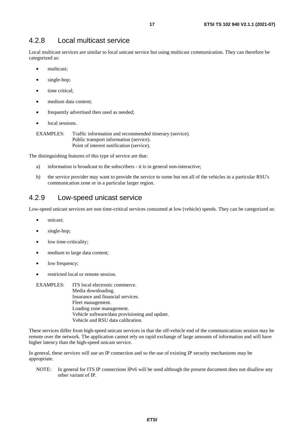### <span id="page-16-0"></span>4.2.8 Local multicast service

Local multicast services are similar to local unicast service but using multicast communication. They can therefore be categorized as:

- multicast;
- single-hop;
- time critical:
- medium data content;
- frequently advertised then used as needed;
- local sessions.

EXAMPLES: Traffic information and recommended itinerary (service). Public transport information (service). Point of interest notification (service).

The distinguishing features of this type of service are that:

- a) information is broadcast to the subscribers it is in general non-interactive;
- b) the service provider may want to provide the service to some but not all of the vehicles in a particular RSU's communication zone or in a particular larger region.

### 4.2.9 Low-speed unicast service

Low-speed unicast services are non time-critical services consumed at low (vehicle) speeds. They can be categorized as:

- unicast:
- single-hop;
- low time-criticality;
- medium to large data content;
- low frequency;
- restricted local or remote session.

#### EXAMPLES: ITS local electronic commerce. Media downloading. Insurance and financial services. Fleet management. Loading zone management. Vehicle software/data provisioning and update. Vehicle and RSU data calibration.

These services differ from high-speed unicast services in that the off-vehicle end of the communications session may be remote over the network. The application cannot rely on rapid exchange of large amounts of information and will have higher latency than the high-speed unicast service.

In general, these services will use an IP connection and so the use of existing IP security mechanisms may be appropriate.

NOTE: In general for ITS IP connections IPv6 will be used although the present document does not disallow any other variant of IP.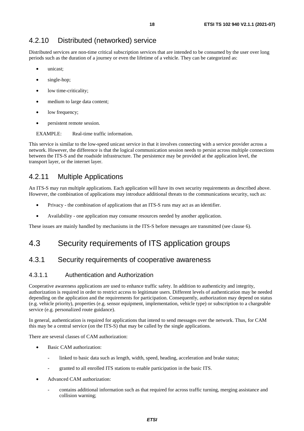### <span id="page-17-0"></span>4.2.10 Distributed (networked) service

Distributed services are non-time critical subscription services that are intended to be consumed by the user over long periods such as the duration of a journey or even the lifetime of a vehicle. They can be categorized as:

- unicast;
- single-hop;
- low time-criticality;
- medium to large data content;
- low frequency;
- persistent remote session.

EXAMPLE: Real-time traffic information.

This service is similar to the low-speed unicast service in that it involves connecting with a service provider across a network. However, the difference is that the logical communication session needs to persist across multiple connections between the ITS-S and the roadside infrastructure. The persistence may be provided at the application level, the transport layer, or the internet layer.

### 4.2.11 Multiple Applications

An ITS-S may run multiple applications. Each application will have its own security requirements as described above. However, the combination of applications may introduce additional threats to the communications security, such as:

- Privacy the combination of applications that an ITS-S runs may act as an identifier.
- Availability one application may consume resources needed by another application.

These issues are mainly handled by mechanisms in the ITS-S before messages are transmitted (see clause 6).

# 4.3 Security requirements of ITS application groups

### 4.3.1 Security requirements of cooperative awareness

#### 4.3.1.1 Authentication and Authorization

Cooperative awareness applications are used to enhance traffic safety. In addition to authenticity and integrity, authorization is required in order to restrict access to legitimate users. Different levels of authentication may be needed depending on the application and the requirements for participation. Consequently, authorization may depend on status (e.g. vehicle priority), properties (e.g. sensor equipment, implementation, vehicle type) or subscription to a chargeable service (e.g. personalized route guidance).

In general, authentication is required for applications that intend to send messages over the network. Thus, for CAM this may be a central service (on the ITS-S) that may be called by the single applications.

There are several classes of CAM authorization:

- Basic CAM authorization:
	- linked to basic data such as length, width, speed, heading, acceleration and brake status;
	- granted to all enrolled ITS stations to enable participation in the basic ITS.
- Advanced CAM authorization:
	- contains additional information such as that required for across traffic turning, merging assistance and collision warning;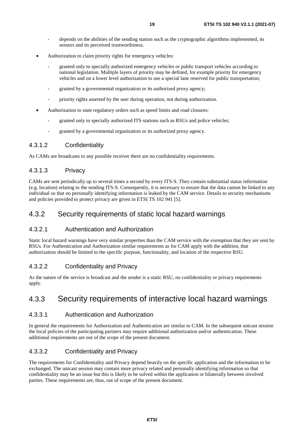- <span id="page-18-0"></span>depends on the abilities of the sending station such as the cryptographic algorithms implemented, its sensors and its perceived trustworthiness.
- Authorization to claim priority rights for emergency vehicles:
	- granted only to specially authorized emergency vehicles or public transport vehicles according to national legislation. Multiple layers of priority may be defined, for example priority for emergency vehicles and on a lower level authorization to use a special lane reserved for public transportation;
	- granted by a governmental organization or its authorized proxy agency;
	- priority rights asserted by the user during operation, not during authorization.
- Authorization to state regulatory orders such as speed limits and road closures:
	- granted only to specially authorized ITS stations such as RSUs and police vehicles;
	- granted by a governmental organization or its authorized proxy agency.

#### 4.3.1.2 Confidentiality

As CAMs are broadcasts to any possible receiver there are no confidentiality requirements.

#### 4.3.1.3 Privacy

CAMs are sent periodically up to several times a second by every ITS-S. They contain substantial status information (e.g. location) relating to the sending ITS-S. Consequently, it is necessary to ensure that the data cannot be linked to any individual so that no personally identifying information is leaked by the CAM service. Details to security mechanisms and policies provided to protect privacy are given in ETSI TS 102 941 [\[5](#page-5-0)].

#### 4.3.2 Security requirements of static local hazard warnings

#### 4.3.2.1 Authentication and Authorization

Static local hazard warnings have very similar properties than the CAM service with the exemption that they are sent by RSUs. For Authentication and Authorization similar requirements as for CAM apply with the addition, that authorization should be limited to the specific purpose, functionality, and location of the respective RSU.

#### 4.3.2.2 Confidentiality and Privacy

As the nature of the service is broadcast and the sender is a static RSU, no confidentiality or privacy requirements apply.

### 4.3.3 Security requirements of interactive local hazard warnings

#### 4.3.3.1 Authentication and Authorization

In general the requirements for Authorization and Authentication are similar to CAM. In the subsequent unicast session the local policies of the participating partners may require additional authorization and/or authentication. These additional requirements are out of the scope of the present document.

#### 4.3.3.2 Confidentiality and Privacy

The requirements for Confidentiality and Privacy depend heavily on the specific application and the information to be exchanged. The unicast session may contain more privacy related and personally identifying information so that confidentiality may be an issue but this is likely to be solved within the application or bilaterally between involved parties. These requirements are, thus, out of scope of the present document.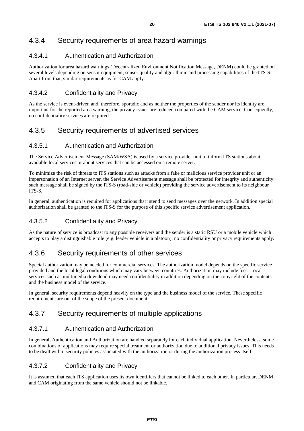### <span id="page-19-0"></span>4.3.4 Security requirements of area hazard warnings

#### 4.3.4.1 Authentication and Authorization

Authorization for area hazard warnings (Decentralized Environment Notification Message, DENM) could be granted on several levels depending on sensor equipment, sensor quality and algorithmic and processing capabilities of the ITS-S. Apart from that, similar requirements as for CAM apply.

#### 4.3.4.2 Confidentiality and Privacy

As the service is event-driven and, therefore, sporadic and as neither the properties of the sender nor its identity are important for the reported area warning, the privacy issues are reduced compared with the CAM service. Consequently, no confidentiality services are required.

### 4.3.5 Security requirements of advertised services

#### 4.3.5.1 Authentication and Authorization

The Service Advertisement Message (SAM/WSA) is used by a service provider unit to inform ITS stations about available local services or about services that can be accessed on a remote server.

To minimize the risk of threats to ITS stations such as attacks from a fake or malicious service provider unit or an impersonation of an Internet server, the Service Advertisement message shall be protected for integrity and authenticity: such message shall be signed by the ITS-S (road-side or vehicle) providing the service advertisement to its neighbour ITS-S.

In general, authentication is required for applications that intend to send messages over the network. In addition special authorization shall be granted to the ITS-S for the purpose of this specific service advertisement application.

### 4.3.5.2 Confidentiality and Privacy

As the nature of service is broadcast to any possible receivers and the sender is a static RSU or a mobile vehicle which accepts to play a distinguishable role (e.g. leader vehicle in a platoon), no confidentiality or privacy requirements apply.

### 4.3.6 Security requirements of other services

Special authorization may be needed for commercial services. The authorization model depends on the specific service provided and the local legal conditions which may vary between countries. Authorization may include fees. Local services such as multimedia download may need confidentiality in addition depending on the copyright of the contents and the business model of the service.

In general, security requirements depend heavily on the type and the business model of the service. These specific requirements are out of the scope of the present document.

### 4.3.7 Security requirements of multiple applications

#### 4.3.7.1 Authentication and Authorization

In general, Authentication and Authorization are handled separately for each individual application. Nevertheless, some combinations of applications may require special treatment or authorization due to additional privacy issues. This needs to be dealt within security policies associated with the authorization or during the authorization process itself.

#### 4.3.7.2 Confidentiality and Privacy

It is assumed that each ITS application uses its own identifiers that cannot be linked to each other. In particular, DENM and CAM originating from the same vehicle should not be linkable.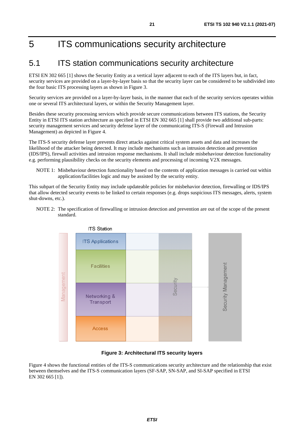# <span id="page-20-0"></span>5 ITS communications security architecture

# 5.1 ITS station communications security architecture

ETSI EN 302 665 [\[1](#page-5-0)] shows the Security Entity as a vertical layer adjacent to each of the ITS layers but, in fact, security services are provided on a layer-by-layer basis so that the security layer can be considered to be subdivided into the four basic ITS processing layers as shown in Figure 3.

Security services are provided on a layer-by-layer basis, in the manner that each of the security services operates within one or several ITS architectural layers, or within the Security Management layer.

Besides these security processing services which provide secure communications between ITS stations, the Security Entity in ETSI ITS station architecture as specified in ETSI EN 302 665 [\[1](#page-5-0)] shall provide two additional sub-parts: security management services and security defense layer of the communicating ITS-S (Firewall and Intrusion Management) as depicted in Figure 4.

The ITS-S security defense layer prevents direct attacks against critical system assets and data and increases the likelihood of the attacker being detected. It may include mechanisms such as intrusion detection and prevention (IDS/IPS), firewall activities and intrusion response mechanisms. It shall include misbehaviour detection functionality e.g. performing plausibility checks on the security elements and processing of incoming V2X messages.

NOTE 1: Misbehaviour detection functionality based on the contents of application messages is carried out within application/facilities logic and may be assisted by the security entity.

This subpart of the Security Entity may include updateable policies for misbehavior detection, firewalling or IDS/IPS that allow detected security events to be linked to certain responses (e.g. drops suspicious ITS messages, alerts, system shut-downs, etc.).

NOTE 2: The specification of firewalling or intrusion detection and prevention are out of the scope of the present standard.



#### **Figure 3: Architectural ITS security layers**

Figure 4 shows the functional entities of the ITS-S communications security architecture and the relationship that exist between themselves and the ITS-S communication layers (SF-SAP, SN-SAP, and SI-SAP specified in ETSI EN 302 665 [[1](#page-5-0)]).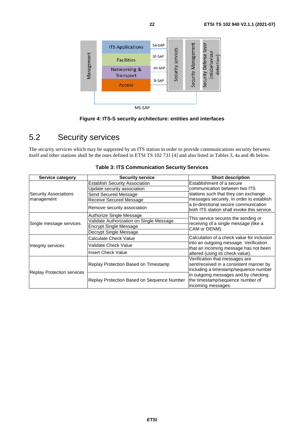<span id="page-21-0"></span>

**Figure 4: ITS-S security architecture: entities and interfaces** 

# 5.2 Security services

The security services which may be supported by an ITS station in order to provide communications security between itself and other stations shall be the ones defined in ETSI TS 102 731 [\[4](#page-5-0)] and also listed in Tables 3, 4a and 4b below.

| Service category             | <b>Security service</b>                    | <b>Short description</b>                                                                                           |
|------------------------------|--------------------------------------------|--------------------------------------------------------------------------------------------------------------------|
|                              | <b>Establish Security Association</b>      | Establishment of a secure                                                                                          |
|                              | Update security association                | communication between two ITS                                                                                      |
| <b>Security Associations</b> | Send Secured Message                       | stations such that they can exchange                                                                               |
| management                   | Receive Secured Message                    | messages securely. In order to establish                                                                           |
|                              | Remove security association                | a bi-directional secure communication<br>both ITS station shall invoke this service.                               |
|                              | Authorize Single Message                   |                                                                                                                    |
|                              | Validate Authorization on Single Message   | This service secures the sending or<br>receiving of a single message (like a                                       |
| Single message services      | <b>Encrypt Single Message</b>              | CAM or DENM).                                                                                                      |
|                              | Decrypt Single Message                     |                                                                                                                    |
|                              | Calculate Check Value                      | Calculation of a check value for inclusion                                                                         |
| Integrity services           | Validate Check Value                       | into an outgoing message. Verification<br>that an incoming message has not been                                    |
|                              | <b>Insert Check Value</b>                  | altered (using its check value).                                                                                   |
|                              | Replay Protection Based on Timestamp       | Verification that messages are<br>sent/received in a consistent manner by<br>including a timestamp/sequence number |
| Replay Protection services   | Replay Protection Based on Sequence Number | in outgoing messages and by checking<br>the timestamp/sequence number of<br>incoming messages.                     |

|  |  | <b>Table 3: ITS Communication Security Services</b> |  |  |
|--|--|-----------------------------------------------------|--|--|
|--|--|-----------------------------------------------------|--|--|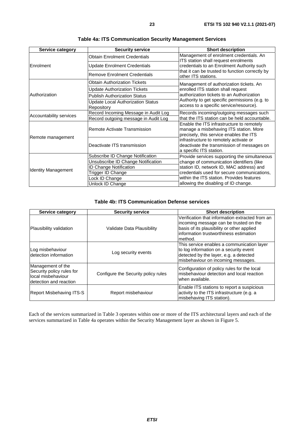| Service category           | <b>Security service</b>                         | <b>Short description</b>                                                                                                       |
|----------------------------|-------------------------------------------------|--------------------------------------------------------------------------------------------------------------------------------|
|                            | <b>Obtain Enrolment Credentials</b>             | Management of enrolment credentials. An<br>ITS station shall request enrolments                                                |
| <b>Enrolment</b>           | Update Enrolment Credentials                    | credentials to an Enrolment Authority such                                                                                     |
|                            | <b>Remove Enrolment Credentials</b>             | that it can be trusted to function correctly by<br>other ITS stations.                                                         |
|                            | <b>Obtain Authorization Tickets</b>             | Management of authorization tickets. An                                                                                        |
|                            | <b>Update Authorization Tickets</b>             | enrolled ITS station shall request                                                                                             |
| Authorization              | <b>Publish Authorization Status</b>             | authorization tickets to an Authorization                                                                                      |
|                            | Update Local Authorization Status<br>Repository | Authority to get specific permissions (e.g. to<br>access to a specific service/resource).                                      |
| Accountability services    | Record Incoming Message in Audit Log            | Records incoming/outgoing messages such                                                                                        |
|                            | Record outgoing message in Audit Log            | that the ITS station can be held accountable.                                                                                  |
| Remote management          | Remote Activate Transmission                    | Enable the ITS infrastructure to remotely<br>manage a misbehaving ITS station. More<br>precisely, this service enables the ITS |
|                            | Deactivate ITS transmission                     | infrastructure to remotely activate or<br>deactivate the transmission of messages on<br>a specific ITS station.                |
|                            | Subscribe ID Change Notification                | Provide services supporting the simultaneous                                                                                   |
|                            | Unsubscribe ID Change Notification              | change of communication identifiers (like                                                                                      |
| <b>Identity Management</b> | <b>D Change Notification</b>                    | station ID, network ID, MAC address) and                                                                                       |
|                            | Trigger ID Change                               | credentials used for secure communications,                                                                                    |
|                            | ock ID Change                                   | within the ITS station. Provides features                                                                                      |
|                            | Unlock ID Change                                | allowing the disabling of ID change.                                                                                           |

| <b>Table 4a: ITS Communication Security Management Services</b> |  |  |  |  |
|-----------------------------------------------------------------|--|--|--|--|
|-----------------------------------------------------------------|--|--|--|--|

#### **Table 4b: ITS Communication Defense services**

| Service category                                                                               | Security service                    | <b>Short description</b>                                                                                                                                                                       |
|------------------------------------------------------------------------------------------------|-------------------------------------|------------------------------------------------------------------------------------------------------------------------------------------------------------------------------------------------|
| Plausibility validation                                                                        | Validate Data Plausibility          | Verification that information extracted from an<br>incoming message can be trusted on the<br>basis of its plausibility or other applied<br>linformation trustworthiness estimation<br>lmethod. |
| Log misbehaviour<br>detection information                                                      | Log security events                 | This service enables a communication layer<br>to log information on a security event<br>detected by the layer, e.g. a detected<br>misbehaviour on incoming messages.                           |
| Management of the<br>Security policy rules for<br>local misbehaviour<br>detection and reaction | Configure the Security policy rules | Configuration of policy rules for the local<br>misbehaviour detection and local reaction<br>when available.                                                                                    |
| <b>Report Misbehaving ITS-S</b>                                                                | Report misbehaviour                 | Enable ITS stations to report a suspicious<br>activity to the ITS infrastructure (e.g. a<br>misbehaving ITS station).                                                                          |

Each of the services summarized in Table 3 operates within one or more of the ITS architectural layers and each of the services summarized in Table 4a operates within the Security Management layer as shown in Figure 5.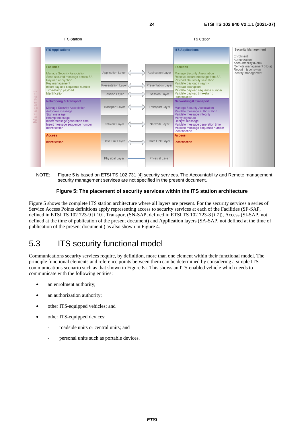<span id="page-23-0"></span>

NOTE: Figure 5 is based on ETSI TS 102 731 [\[4](#page-5-0)] security services. The Accountability and Remote management security management services are not specified in the present document.

#### **Figure 5: The placement of security services within the ITS station architecture**

Figure 5 shows the complete ITS station architecture where all layers are present. For the security services a series of Service Access Points definitions apply representing access to security services at each of the Facilities (SF-SAP, defined in ETSI TS 102 723-9 [[i.10](#page-6-0)], Transport (SN-SAP, defined in ETSI TS 102 723-8 [\[i.7\]](#page-6-0)), Access (SI-SAP, not defined at the time of publication of the present document) and Application layers (SA-SAP, not defined at the time of publication of the present document ) as also shown in Figure 4.

# 5.3 ITS security functional model

Communications security services require, by definition, more than one element within their functional model. The principle functional elements and reference points between them can be determined by considering a simple ITS communications scenario such as that shown in Figure 6a. This shows an ITS-enabled vehicle which needs to communicate with the following entities:

- an enrolment authority;
- an authorization authority;
- other ITS-equipped vehicles; and
- other ITS-equipped devices:
	- roadside units or central units; and
	- personal units such as portable devices.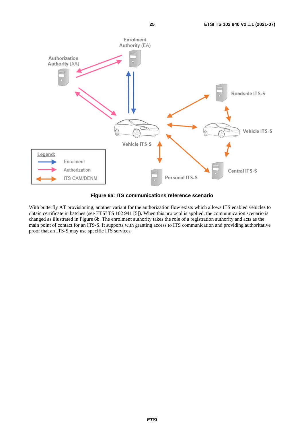



**Figure 6a: ITS communications reference scenario** 

With butterfly AT provisioning, another variant for the authorization flow exists which allows ITS enabled vehicles to obtain certificate in batches (see ETSI TS 102 941 [\[5](#page-5-0)]). When this protocol is applied, the communication scenario is changed as illustrated in Figure 6b. The enrolment authority takes the role of a registration authority and acts as the main point of contact for an ITS-S. It supports with granting access to ITS communication and providing authoritative proof that an ITS-S may use specific ITS services.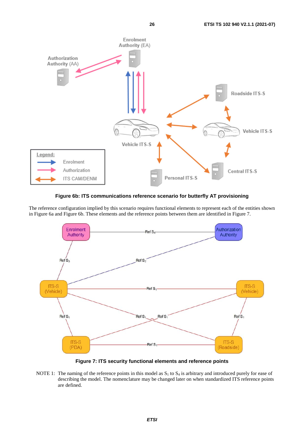

**Figure 6b: ITS communications reference scenario for butterfly AT provisioning** 

The reference configuration implied by this scenario requires functional elements to represent each of the entities shown in Figure 6a and Figure 6b. These elements and the reference points between them are identified in Figure 7.



**Figure 7: ITS security functional elements and reference points** 

NOTE 1: The naming of the reference points in this model as  $S_1$  to  $S_4$  is arbitrary and introduced purely for ease of describing the model. The nomenclature may be changed later on when standardized ITS reference points are defined.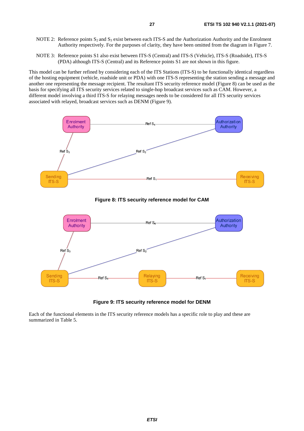- NOTE 2: Reference points  $S_2$  and  $S_3$  exist between each ITS-S and the Authorization Authority and the Enrolment Authority respectively. For the purposes of clarity, they have been omitted from the diagram in Figure 7.
- NOTE 3: Reference points S1 also exist between ITS-S (Central) and ITS-S (Vehicle), ITS-S (Roadside), ITS-S (PDA) although ITS-S (Central) and its Reference points S1 are not shown in this figure.

This model can be further refined by considering each of the ITS Stations (ITS-S) to be functionally identical regardless of the hosting equipment (vehicle, roadside unit or PDA) with one ITS-S representing the station sending a message and another one representing the message recipient. The resultant ITS security reference model (Figure 8) can be used as the basis for specifying all ITS security services related to single-hop broadcast services such as CAM. However, a different model involving a third ITS-S for relaying messages needs to be considered for all ITS security services associated with relayed, broadcast services such as DENM (Figure 9).





#### **Figure 9: ITS security reference model for DENM**

Each of the functional elements in the ITS security reference models has a specific role to play and these are summarized in Table 5.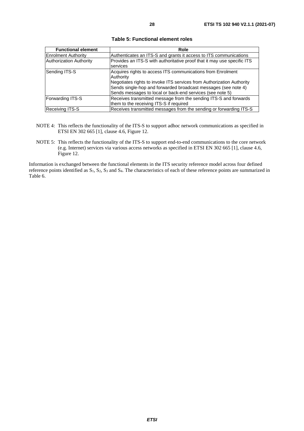| <b>Functional element</b>  | Role                                                                    |
|----------------------------|-------------------------------------------------------------------------|
| <b>Enrolment Authority</b> | Authenticates an ITS-S and grants it access to ITS communications       |
| Authorization Authority    | Provides an ITS-S with authoritative proof that it may use specific ITS |
|                            | services                                                                |
| Sending ITS-S              | Acquires rights to access ITS communications from Enrolment             |
|                            | Authority                                                               |
|                            | Negotiates rights to invoke ITS services from Authorization Authority   |
|                            | Sends single-hop and forwarded broadcast messages (see note 4)          |
|                            | Sends messages to local or back-end services (see note 5)               |
| Forwarding ITS-S           | Receives transmitted message from the sending ITS-S and forwards        |
|                            | them to the receiving ITS-S if required                                 |
| <b>Receiving ITS-S</b>     | Receives transmitted messages from the sending or forwarding ITS-S      |

**Table 5: Functional element roles** 

- NOTE 4: This reflects the functionality of the ITS-S to support adhoc network communications as specified in ETSI EN 302 665 [\[1](#page-5-0)], clause 4.6, Figure 12.
- NOTE 5: This reflects the functionality of the ITS-S to support end-to-end communications to the core network (e.g. Internet) services via various access networks as specified in ETSI EN 302 665 [[1\]](#page-5-0), clause 4.6, Figure 12.

Information is exchanged between the functional elements in the ITS security reference model across four defined reference points identified as  $S_1$ ,  $S_2$ ,  $S_3$  and  $S_4$ . The characteristics of each of these reference points are summarized in Table 6.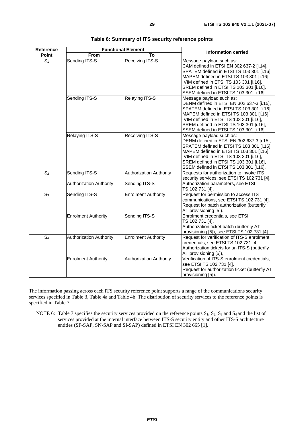| Reference        | <b>Functional Element</b>      |                                | <b>Information carried</b>                                                                                                                                                                                                                                                                      |
|------------------|--------------------------------|--------------------------------|-------------------------------------------------------------------------------------------------------------------------------------------------------------------------------------------------------------------------------------------------------------------------------------------------|
| Point            | <b>From</b>                    | To                             |                                                                                                                                                                                                                                                                                                 |
| S <sub>1</sub>   | Sending ITS-S                  | Receiving ITS-S                | Message payload such as:<br>CAM defined in ETSI EN 302 637-2 [i.14],<br>SPATEM defined in ETSI TS 103 301 [i.16],<br>MAPEM defined in ETSI TS 103 301 [i.16],<br>IVIM defined in ETSI TS 103 301 [i.16],<br>SREM defined in ETSI TS 103 301 [i.16],<br>SSEM defined in ETSI TS 103 301 [i.16].  |
|                  | Sending ITS-S                  | Relaying ITS-S                 | Message payload such as:<br>DENM defined in ETSI EN 302 637-3 [i.15],<br>SPATEM defined in ETSI TS 103 301 [i.16],<br>MAPEM defined in ETSI TS 103 301 [i.16],<br>IVIM defined in ETSI TS 103 301 [i.16],<br>SREM defined in ETSI TS 103 301 [i.16],<br>SSEM defined in ETSI TS 103 301 [i.16]. |
|                  | Relaying ITS-S                 | <b>Receiving ITS-S</b>         | Message payload such as:<br>DENM defined in ETSI EN 302 637-3 [i.15],<br>SPATEM defined in ETSI TS 103 301 [i.16],<br>MAPEM defined in ETSI TS 103 301 [i.16],<br>IVIM defined in ETSI TS 103 301 [i.16],<br>SREM defined in ETSI TS 103 301 [i.16],<br>SSEM defined in ETSI TS 103 301 [i.16]. |
| $\overline{S_2}$ | Sending ITS-S                  | <b>Authorization Authority</b> | Requests for authorization to invoke ITS<br>security services, see ETSI TS 102 731 [4].                                                                                                                                                                                                         |
|                  | <b>Authorization Authority</b> | Sending ITS-S                  | Authorization parameters, see ETSI<br>TS 102 731 [4].                                                                                                                                                                                                                                           |
| $S_3$            | Sending ITS-S                  | <b>Enrolment Authority</b>     | Request for permission to access ITS<br>communications, see ETSI TS 102 731 [4].<br>Request for batch authorization (butterfly<br>AT provisioning [5]).                                                                                                                                         |
|                  | <b>Enrolment Authority</b>     | Sending ITS-S                  | Enrolment credentials, see ETSI<br>TS 102 731 [4].<br>Authorization ticket batch (butterfly AT<br>provisioning [5]), see ETSI TS 102 731 [4].                                                                                                                                                   |
| S <sub>4</sub>   | <b>Authorization Authority</b> | <b>Enrolment Authority</b>     | Request for verification of ITS-S enrolment<br>credentials, see ETSI TS 102 731 [4].<br>Authorization tickets for an ITS-S (butterfly<br>AT provisioning [5]),                                                                                                                                  |
|                  | <b>Enrolment Authority</b>     | <b>Authorization Authority</b> | Verification of ITS-S enrolment credentials,<br>see ETSI TS 102 731 [4].<br>Request for authorization ticket (butterfly AT<br>provisioning [5]).                                                                                                                                                |

| Table 6: Summary of ITS security reference points |  |  |
|---------------------------------------------------|--|--|
|---------------------------------------------------|--|--|

The information passing across each ITS security reference point supports a range of the communications security services specified in Table 3, Table 4a and Table 4b. The distribution of security services to the reference points is specified in Table 7.

NOTE 6: Table 7 specifies the security services provided on the reference points  $S_1$ ,  $S_2$ ,  $S_3$  and  $S_4$  and the list of services provided at the internal interface between ITS-S security entity and other ITS-S architecture entities (SF-SAP, SN-SAP and SI-SAP) defined in ETSI EN 302 665 [\[1](#page-5-0)].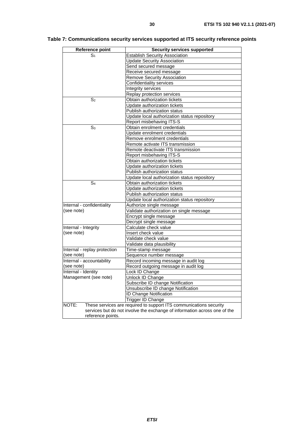| <b>Reference point</b>       | <b>Security services supported</b>                                                                                                              |  |  |
|------------------------------|-------------------------------------------------------------------------------------------------------------------------------------------------|--|--|
| $\mathbb{S}_1$               | <b>Establish Security Association</b>                                                                                                           |  |  |
|                              | <b>Update Security Association</b>                                                                                                              |  |  |
|                              | Send secured message                                                                                                                            |  |  |
|                              | Receive secured message                                                                                                                         |  |  |
|                              | <b>Remove Security Association</b>                                                                                                              |  |  |
|                              | Confidentiality services                                                                                                                        |  |  |
|                              | Integrity services                                                                                                                              |  |  |
|                              | Replay protection services                                                                                                                      |  |  |
| S <sub>2</sub>               | Obtain authorization tickets                                                                                                                    |  |  |
|                              | Update authorization tickets                                                                                                                    |  |  |
|                              | Publish authorization status                                                                                                                    |  |  |
|                              | Update local authorization status repository                                                                                                    |  |  |
|                              | Report misbehaving ITS-S                                                                                                                        |  |  |
| S <sub>3</sub>               | Obtain enrolment credentials                                                                                                                    |  |  |
|                              | Update enrolment credentials                                                                                                                    |  |  |
|                              | Remove enrolment credentials                                                                                                                    |  |  |
|                              | Remote activate ITS transmission                                                                                                                |  |  |
|                              | Remote deactivate ITS transmission                                                                                                              |  |  |
|                              | Report misbehaving ITS-S                                                                                                                        |  |  |
|                              | Obtain authorization tickets                                                                                                                    |  |  |
|                              | Update authorization tickets                                                                                                                    |  |  |
|                              | Publish authorization status                                                                                                                    |  |  |
|                              | Update local authorization status repository                                                                                                    |  |  |
| S4                           | Obtain authorization tickets                                                                                                                    |  |  |
|                              | Update authorization tickets                                                                                                                    |  |  |
|                              | Publish authorization status                                                                                                                    |  |  |
|                              | Update local authorization status repository                                                                                                    |  |  |
| Internal - confidentiality   | Authorize single message                                                                                                                        |  |  |
| (see note)                   | Validate authorization on single message                                                                                                        |  |  |
|                              | Encrypt single message                                                                                                                          |  |  |
|                              | Decrypt single message                                                                                                                          |  |  |
| Internal - Integrity         | Calculate check value                                                                                                                           |  |  |
| (see note)                   | Insert check value                                                                                                                              |  |  |
|                              | Validate check value                                                                                                                            |  |  |
|                              | Validate data plausibility                                                                                                                      |  |  |
| Internal - replay protection | Time-stamp message                                                                                                                              |  |  |
| (see note)                   | Sequence number message                                                                                                                         |  |  |
| Internal - accountability    | Record incoming message in audit log                                                                                                            |  |  |
| (see note)                   | Record outgoing message in audit log                                                                                                            |  |  |
| Internal - Identity          | Lock ID Change                                                                                                                                  |  |  |
| Management (see note)        | Unlock ID Change                                                                                                                                |  |  |
|                              | Subscribe ID change Notification                                                                                                                |  |  |
|                              | Unsubscribe ID change Notification                                                                                                              |  |  |
|                              | ID Change Notification                                                                                                                          |  |  |
|                              | Trigger ID Change                                                                                                                               |  |  |
| NOTE:                        | These services are required to support ITS communications security<br>services but do not involve the exchange of information across one of the |  |  |
| reference points.            |                                                                                                                                                 |  |  |

### **Table 7: Communications security services supported at ITS security reference points**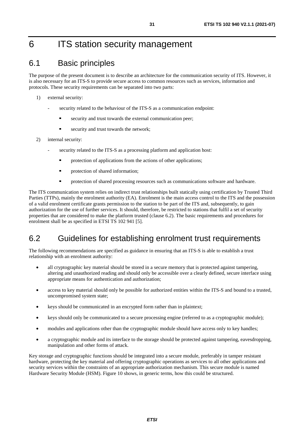# <span id="page-30-0"></span>6 ITS station security management

# 6.1 Basic principles

The purpose of the present document is to describe an architecture for the communication security of ITS. However, it is also necessary for an ITS-S to provide secure access to common resources such as services, information and protocols. These security requirements can be separated into two parts:

- 1) external security:
	- security related to the behaviour of the ITS-S as a communication endpoint:
		- security and trust towards the external communication peer;
		- security and trust towards the network;
- 2) internal security:
	- security related to the ITS-S as a processing platform and application host:
		- protection of applications from the actions of other applications;
		- protection of shared information;
		- protection of shared processing resources such as communications software and hardware.

The ITS communication system relies on indirect trust relationships built statically using certification by Trusted Third Parties (TTPs), mainly the enrolment authority (EA). Enrolment is the main access control to the ITS and the possession of a valid enrolment certificate grants permission to the station to be part of the ITS and, subsequently, to gain authorization for the use of further services. It should, therefore, be restricted to stations that fulfil a set of security properties that are considered to make the platform trusted (clause 6.2). The basic requirements and procedures for enrolment shall be as specified in ETSI TS 102 941 [[5\]](#page-5-0).

# 6.2 Guidelines for establishing enrolment trust requirements

The following recommendations are specified as guidance in ensuring that an ITS-S is able to establish a trust relationship with an enrolment authority:

- all cryptographic key material should be stored in a secure memory that is protected against tampering, altering and unauthorized reading and should only be accessible over a clearly defined, secure interface using appropriate means for authentication and authorization;
- access to key material should only be possible for authorized entities within the ITS-S and bound to a trusted, uncompromised system state;
- keys should be communicated in an encrypted form rather than in plaintext;
- keys should only be communicated to a secure processing engine (referred to as a cryptographic module);
- modules and applications other than the cryptographic module should have access only to key handles;
- a cryptographic module and its interface to the storage should be protected against tampering, eavesdropping, manipulation and other forms of attack.

Key storage and cryptographic functions should be integrated into a secure module, preferably in tamper resistant hardware, protecting the key material and offering cryptographic operations as services to all other applications and security services within the constraints of an appropriate authorization mechanism. This secure module is named Hardware Security Module (HSM). Figure 10 shows, in generic terms, how this could be structured.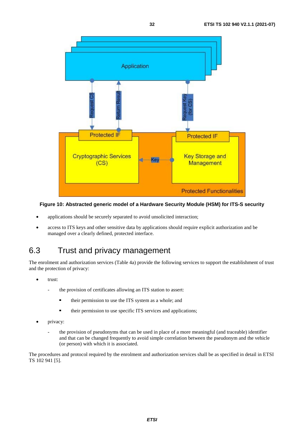<span id="page-31-0"></span>

#### **Figure 10: Abstracted generic model of a Hardware Security Module (HSM) for ITS-S security**

- applications should be securely separated to avoid unsolicited interaction;
- access to ITS keys and other sensitive data by applications should require explicit authorization and be managed over a clearly defined, protected interface.

# 6.3 Trust and privacy management

The enrolment and authorization services (Table 4a) provide the following services to support the establishment of trust and the protection of privacy:

- trust:
	- the provision of certificates allowing an ITS station to assert:
		- their permission to use the ITS system as a whole; and
		- their permission to use specific ITS services and applications;
- privacy:
	- the provision of pseudonyms that can be used in place of a more meaningful (and traceable) identifier and that can be changed frequently to avoid simple correlation between the pseudonym and the vehicle (or person) with which it is associated.

The procedures and protocol required by the enrolment and authorization services shall be as specified in detail in ETSI TS 102 941 [\[5](#page-5-0)].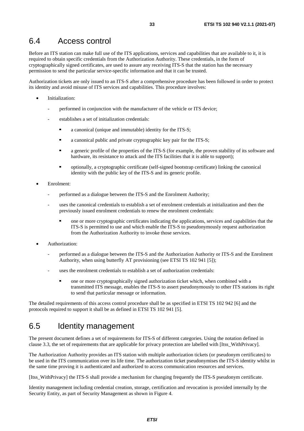### <span id="page-32-0"></span>6.4 Access control

Before an ITS station can make full use of the ITS applications, services and capabilities that are available to it, it is required to obtain specific credentials from the Authorization Authority. These credentials, in the form of cryptographically signed certificates, are used to assure any receiving ITS-S that the station has the necessary permission to send the particular service-specific information and that it can be trusted.

Authorization tickets are only issued to an ITS-S after a comprehensive procedure has been followed in order to protect its identity and avoid misuse of ITS services and capabilities. This procedure involves:

- Initialization:
	- performed in conjunction with the manufacturer of the vehicle or ITS device;
	- establishes a set of initialization credentials:
		- a canonical (unique and immutable) identity for the ITS-S;
		- **a** canonical public and private cryptographic key pair for the ITS-S;<br>**a** canonic profile of the properties of the ITS-S (for example, the pro-
		- a generic profile of the properties of the ITS-S (for example, the proven stability of its software and hardware, its resistance to attack and the ITS facilities that it is able to support);
		- optionally, a cryptographic certificate (self-signed bootstrap certificate) linking the canonical identity with the public key of the ITS-S and its generic profile.
- Enrolment:
	- performed as a dialogue between the ITS-S and the Enrolment Authority;
	- uses the canonical credentials to establish a set of enrolment credentials at initialization and then the previously issued enrolment credentials to renew the enrolment credentials:
		- one or more cryptographic certificates indicating the applications, services and capabilities that the ITS-S is permitted to use and which enable the ITS-S to pseudonymously request authorization from the Authorization Authority to invoke those services.
- Authorization:
	- performed as a dialogue between the ITS-S and the Authorization Authority or ITS-S and the Enrolment Authority, when using butterfly AT provisioning (see ETSI TS 102 941 [[5\]](#page-5-0));
	- uses the enrolment credentials to establish a set of authorization credentials:
		- one or more cryptographically signed authorization ticket which, when combined with a transmitted ITS message, enables the ITS-S to assert pseudonymously to other ITS stations its right to send that particular message or information.

The detailed requirements of this access control procedure shall be as specified in ETSI TS 102 942 [[6\]](#page-5-0) and the protocols required to support it shall be as defined in ETSI TS 102 941 [\[5](#page-5-0)].

### 6.5 Identity management

The present document defines a set of requirements for ITS-S of different categories. Using the notation defined in clause 3.3, the set of requirements that are applicable for privacy protection are labelled with [Itss\_WithPrivacy].

The Authorization Authority provides an ITS station with multiple authorization tickets (or pseudonym certificates) to be used in the ITS communication over its life time. The authorization ticket pseudonymises the ITS-S identity whilst in the same time proving it is authenticated and authorized to access communication resources and services.

[Itss\_WithPrivacy] the ITS-S shall provide a mechanism for changing frequently the ITS-S pseudonym certificate.

Identity management including credential creation, storage, certification and revocation is provided internally by the Security Entity, as part of Security Management as shown in Figure 4.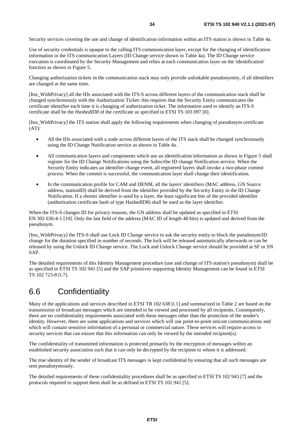<span id="page-33-0"></span>Security services covering the use and change of identification information within an ITS station is shown in Table 4a.

Use of security credentials is opaque to the calling ITS communication layer, except for the changing of identification information in the ITS communication Layers (ID Change service shown in Table 4a). The ID Change service execution is coordinated by the Security Management and relies at each communication layer on the 'identification' function as shown in Figure 5.

Changing authorization tickets in the communication stack may only provide unlinkable pseudonymity, if all identifiers are changed at the same time.

[Itss\_WithPrivacy] all the IDs associated with the ITS-S across different layers of the communication stack shall be changed synchronously with the Authorization Ticket: this requires that the Security Entity communicates the certificate identifier each time it is changing of authorization ticket. The information used to identify an ITS-S certificate shall be the *HashedID8* of the certificate as specified in ETSI TS 103 097 [[8\]](#page-5-0).

[Itss\_WithPrivacy] the ITS station shall apply the following requirements when changing of pseudonym certificate (AT):

- All the IDs associated with a node across different layers of the ITS stack shall be changed synchronously using the ID Change Notification service as shown in Table 4a.
- All communication layers and components which use an identification information as shown in Figure 5 shall register for the ID Change Notifications using the Subscribe ID change Notification service. When the Security Entity indicates an identifier change event, all registered layers shall invoke a two-phase commit process. When the commit is successful, the communication layer shall change their identification.
- In the communication profile for CAM and DENM, all the layers' identifiers (MAC address, GN Source address, stationID) shall be derived from the identifier provided by the Security Entity in the ID Change Notification. If a shorter identifier is used by a layer, the least significant bits of the provided identifier (authorization certificate hash of type HashedID8) shall be used as the layer identifier.

When the ITS-S changes ID for privacy reasons, the GN address shall be updated as specified in ETSI EN 302 636-4-1 [\[10](#page-5-0)]. Only the last field of the address (MAC ID of length 48 bits) is updated and derived from the pseudonym.

[Itss\_WithPrivacy] the ITS-S shall use Lock ID Change service to ask the security entity to block the pseudonym/ID change for the duration specified in number of seconds. The lock will be released automatically afterwards or can be released by using the Unlock ID Change service. The Lock and Unlock Change service should be provided at SF or SN SAP.

The detailed requirements of this Identity Management procedure (use and change of ITS station's pseudonym) shall be as specified in ETSI TS 102 941 [\[5](#page-5-0)] and the SAP primitives supporting Identity Management can be found in ETSI TS 102 723-8 [\[i.7\]](#page-6-0).

# 6.6 Confidentiality

Many of the applications and services described in ETSI TR 102 638 [[i.1](#page-6-0)] and summarized in Table 2 are based on the transmission of broadcast messages which are intended to be viewed and processed by all recipients. Consequently, there are no confidentiality requirements associated with these messages other than the protection of the sender's identity. However, there are some applications and services which will use point-to-point unicast communications and which will contain sensitive information of a personal or commercial nature. These services will require access to security services that can ensure that this information can only be viewed by the intended recipient(s).

The confidentiality of transmitted information is protected primarily by the encryption of messages within an established security association such that it can only be decrypted by the recipient to whom it is addressed.

The true identity of the sender of broadcast ITS messages is kept confidential by ensuring that all such messages are sent pseudonymously.

The detailed requirements of these confidentiality procedures shall be as specified in ETSI TS 102 943 [\[7](#page-5-0)] and the protocols required to support them shall be as defined in ETSI TS 102 941 [\[5](#page-5-0)].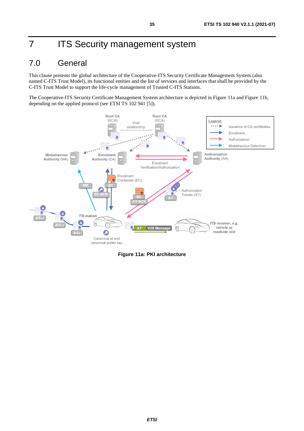# <span id="page-34-0"></span>7 **ITS Security management system**

# 7.0 General

This clause presents the global architecture of the Cooperative-ITS Security Certificate Management System (also named C-ITS Trust Model), its functional entities and the list of services and interfaces that shall be provided by the C-ITS Trust Model to support the life-cycle management of Trusted C-ITS Stations.

The Cooperative-ITS Security Certificate Management System architecture is depicted in Figure 11a and Figure 11b, depending on the applied protocol (see ETSI TS 102 941 [\[5](#page-5-0)]).



**Figure 11a: PKI architecture**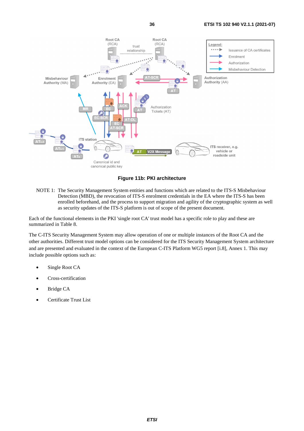

**Figure 11b: PKI architecture** 

NOTE 1: The Security Management System entities and functions which are related to the ITS-S Misbehaviour Detection (MBD), the revocation of ITS-S enrolment credentials in the EA where the ITS-S has been enrolled beforehand, and the process to support migration and agility of the cryptographic system as well as security updates of the ITS-S platform is out of scope of the present document.

Each of the functional elements in the PKI 'single root CA' trust model has a specific role to play and these are summarized in [Table 8.](#page-36-0)

The C-ITS Security Management System may allow operation of one or multiple instances of the Root CA and the other authorities. Different trust model options can be considered for the ITS Security Management System architecture and are presented and evaluated in the context of the European C-ITS Platform WG5 report [\[i.8](#page-6-0)], Annex 1. This may include possible options such as:

- Single Root CA
- Cross-certification
- Bridge CA
- Certificate Trust List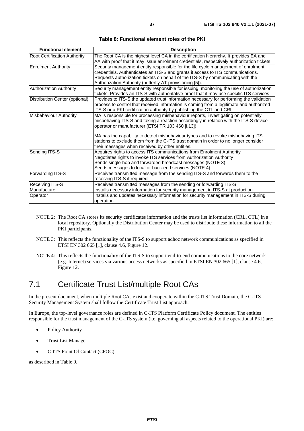<span id="page-36-0"></span>

| <b>Functional element</b>      | <b>Description</b>                                                                                                                                                                                                                                                                                                                                                                                                                                               |
|--------------------------------|------------------------------------------------------------------------------------------------------------------------------------------------------------------------------------------------------------------------------------------------------------------------------------------------------------------------------------------------------------------------------------------------------------------------------------------------------------------|
| Root Certification Authority   | The Root CA is the highest level CA in the certification hierarchy. It provides EA and<br>AA with proof that it may issue enrolment credentials, respectively authorization tickets                                                                                                                                                                                                                                                                              |
| <b>Enrolment Authority</b>     | Security management entity responsible for the life cycle management of enrolment<br>credentials. Authenticates an ITS-S and grants it access to ITS communications.<br>Requests authorization tickets on behalf of the ITS-S by communicating with the<br>Authorization Authority (butterfly AT provisioning [5]).                                                                                                                                              |
| <b>Authorization Authority</b> | Security management entity responsible for issuing, monitoring the use of authorization<br>tickets. Provides an ITS-S with authoritative proof that it may use specific ITS services                                                                                                                                                                                                                                                                             |
| Distribution Center (optional) | Provides to ITS-S the updated trust information necessary for performing the validation<br>process to control that received information is coming from a legitimate and authorized<br>ITS-S or a PKI certification authority by publishing the CTL and CRL                                                                                                                                                                                                       |
| Misbehaviour Authority         | MA is responsible for processing misbehaviour reports, investigating on potentially<br>misbehaving ITS-S and taking a reaction accordingly in relation with the ITS-S device<br>operator or manufacturer (ETSI TR 103 460 [i.13]).<br>MA has the capability to detect misbehaviour types and to revoke misbehaving ITS<br>stations to exclude them from the C-ITS trust domain in order to no longer consider<br>their messages when received by other entities. |
| Sending ITS-S                  | Acquires rights to access ITS communications from Enrolment Authority<br>Negotiates rights to invoke ITS services from Authorization Authority<br>Sends single-hop and forwarded broadcast messages (NOTE 3)<br>Sends messages to local or back-end services (NOTE 4)                                                                                                                                                                                            |
| Forwarding ITS-S               | Receives transmitted message from the sending ITS-S and forwards them to the<br>receiving ITS-S if required                                                                                                                                                                                                                                                                                                                                                      |
| <b>Receiving ITS-S</b>         | Receives transmitted messages from the sending or forwarding ITS-S                                                                                                                                                                                                                                                                                                                                                                                               |
| Manufacturer                   | Installs necessary information for security management in ITS-S at production                                                                                                                                                                                                                                                                                                                                                                                    |
| Operator                       | Installs and updates necessary information for security management in ITS-S during<br>operation                                                                                                                                                                                                                                                                                                                                                                  |

**Table 8: Functional element roles of the PKI** 

- NOTE 2: The Root CA stores its security certificates information and the trusts list information (CRL, CTL) in a local repository. Optionally the Distribution Center may be used to distribute these information to all the PKI participants.
- NOTE 3: This reflects the functionality of the ITS-S to support adhoc network communications as specified in ETSI EN 302 665 [\[1](#page-5-0)], clause 4.6, Figure 12.
- NOTE 4: This reflects the functionality of the ITS-S to support end-to-end communications to the core network (e.g. Internet) services via various access networks as specified in ETSI EN 302 665 [[1\]](#page-5-0), clause 4.6, Figure 12.

# 7.1 Certificate Trust List/multiple Root CAs

In the present document, when multiple Root CAs exist and cooperate within the C-ITS Trust Domain, the C-ITS Security Management System shall follow the Certificate Trust List approach.

In Europe, the top-level governance roles are defined in C-ITS Platform Certificate Policy document. The entities responsible for the trust management of the C-ITS system (i.e. governing all aspects related to the operational PKI) are:

- Policy Authority
- Trust List Manager
- C-ITS Point Of Contact (CPOC)

as described in [Table 9.](#page-37-0)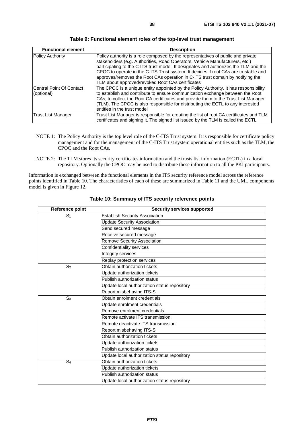<span id="page-37-0"></span>

| <b>Functional element</b> | <b>Description</b>                                                                      |
|---------------------------|-----------------------------------------------------------------------------------------|
| Policy Authority          | Policy authority is a role composed by the representatives of public and private        |
|                           | stakeholders (e.g. Authorities, Road Operators, Vehicle Manufacturers, etc.)            |
|                           | participating to the C-ITS trust model. It designates and authorizes the TLM and the    |
|                           | CPOC to operate in the C-ITS Trust system. It decides if root CAs are trustable and     |
|                           | approves/removes the Root CAs operation in C-ITS trust domain by notifying the          |
|                           | TLM about approved/revoked Root CAs certificates                                        |
| Central Point Of Contact  | The CPOC is a unique entity appointed by the Policy Authority. It has responsibility    |
| (optional)                | to establish and contribute to ensure communication exchange between the Root           |
|                           | CAs, to collect the Root CA certificates and provide them to the Trust List Manager     |
|                           | (TLM). The CPOC is also responsible for distributing the ECTL to any interested         |
|                           | entities in the trust model                                                             |
| <b>Trust List Manager</b> | Trust List Manager is responsible for creating the list of root CA certificates and TLM |
|                           | certificates and signing it. The signed list issued by the TLM is called the ECTL       |

**Table 9: Functional element roles of the top-level trust management** 

- NOTE 1: The Policy Authority is the top level role of the C-ITS Trust system. It is responsible for certificate policy management and for the management of the C-ITS Trust system operational entities such as the TLM, the CPOC and the Root CAs.
- NOTE 2: The TLM stores its security certificates information and the trusts list information (ECTL) in a local repository. Optionally the CPOC may be used to distribute these information to all the PKI participants.

Information is exchanged between the functional elements in the ITS security reference model across the reference points identified in Table 10. The characteristics of each of these are summarized in Table 11 and the UML components model is given in Figure 12.

| Reference point | <b>Security services supported</b>           |  |
|-----------------|----------------------------------------------|--|
| S <sub>1</sub>  | <b>Establish Security Association</b>        |  |
|                 | <b>Update Security Association</b>           |  |
|                 | Send secured message                         |  |
|                 | Receive secured message                      |  |
|                 | <b>Remove Security Association</b>           |  |
|                 | Confidentiality services                     |  |
|                 | Integrity services                           |  |
|                 | Replay protection services                   |  |
| S <sub>2</sub>  | Obtain authorization tickets                 |  |
|                 | Update authorization tickets                 |  |
|                 | Publish authorization status                 |  |
|                 | Update local authorization status repository |  |
|                 | Report misbehaving ITS-S                     |  |
| S <sub>3</sub>  | Obtain enrolment credentials                 |  |
|                 | Update enrolment credentials                 |  |
|                 | Remove enrolment credentials                 |  |
|                 | Remote activate ITS transmission             |  |
|                 | Remote deactivate ITS transmission           |  |
|                 | Report misbehaving ITS-S                     |  |
|                 | Obtain authorization tickets                 |  |
|                 | Update authorization tickets                 |  |
|                 | Publish authorization status                 |  |
|                 | Update local authorization status repository |  |
| S <sub>4</sub>  | Obtain authorization tickets                 |  |
|                 | Update authorization tickets                 |  |
|                 | Publish authorization status                 |  |
|                 | Update local authorization status repository |  |

**Table 10: Summary of ITS security reference points**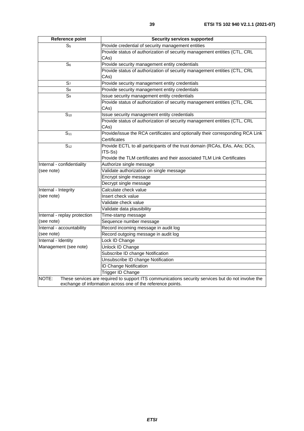| Reference point              | <b>Security services supported</b>                                                                 |
|------------------------------|----------------------------------------------------------------------------------------------------|
| S <sub>5</sub>               | Provide credential of security management entities                                                 |
|                              | Provide status of authorization of security management entities (CTL, CRL                          |
|                              | CAs)                                                                                               |
| S <sub>6</sub>               | Provide security management entity credentials                                                     |
|                              | Provide status of authorization of security management entities (CTL, CRL                          |
|                              | CAs)                                                                                               |
| S <sub>7</sub>               | Provide security management entity credentials                                                     |
| $S_8$                        | Provide security management entity credentials                                                     |
| $S_9$                        | Issue security management entity credentials                                                       |
|                              | Provide status of authorization of security management entities (CTL, CRL                          |
|                              | CAs)                                                                                               |
| S <sub>10</sub>              | Issue security management entity credentials                                                       |
|                              | Provide status of authorization of security management entities (CTL, CRL                          |
|                              | CAs)                                                                                               |
| S <sub>11</sub>              | Provide/issue the RCA certificates and optionally their corresponding RCA Link                     |
|                              | Certificates                                                                                       |
| S <sub>12</sub>              | Provide ECTL to all participants of the trust domain (RCAs, EAs, AAs; DCs,                         |
|                              | ITS-Ss)                                                                                            |
|                              | Provide the TLM certificates and their associated TLM Link Certificates                            |
| Internal - confidentiality   | Authorize single message                                                                           |
| (see note)                   | Validate authorization on single message                                                           |
|                              | Encrypt single message                                                                             |
|                              | Decrypt single message                                                                             |
| Internal - Integrity         | Calculate check value                                                                              |
| (see note)                   | Insert check value                                                                                 |
|                              | Validate check value                                                                               |
|                              | Validate data plausibility                                                                         |
| Internal - replay protection | Time-stamp message                                                                                 |
| (see note)                   | Sequence number message                                                                            |
| Internal - accountability    | Record incoming message in audit log                                                               |
| (see note)                   | Record outgoing message in audit log                                                               |
| Internal - Identity          | Lock ID Change                                                                                     |
| Management (see note)        | Unlock ID Change                                                                                   |
|                              | Subscribe ID change Notification                                                                   |
|                              | Unsubscribe ID change Notification                                                                 |
|                              | <b>ID Change Notification</b>                                                                      |
|                              | Trigger ID Change                                                                                  |
| NOTE:                        | These services are required to support ITS communications security services but do not involve the |
|                              | exchange of information across one of the reference points.                                        |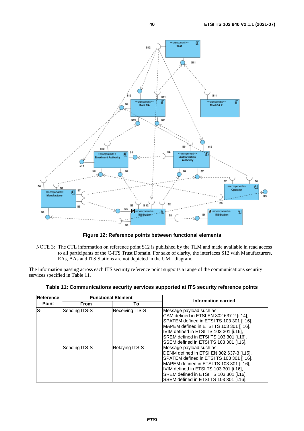

**Figure 12: Reference points between functional elements** 

NOTE 3: The CTL information on reference point S12 is published by the TLM and made available in read access to all participants of the C-ITS Trust Domain. For sake of clarity, the interfaces S12 with Manufacturers, EAs, AAs and ITS Stations are not depicted in the UML diagram.

The information passing across each ITS security reference point supports a range of the communications security services specified in Table 11.

| Reference      | <b>Functional Element</b> |                 | Information carried                                                                                                                                                                                                                                                                                                                        |
|----------------|---------------------------|-----------------|--------------------------------------------------------------------------------------------------------------------------------------------------------------------------------------------------------------------------------------------------------------------------------------------------------------------------------------------|
| Point          | From                      | To              |                                                                                                                                                                                                                                                                                                                                            |
| S <sub>1</sub> | Sending ITS-S             | Receiving ITS-S | Message payload such as:<br>CAM defined in ETSI EN 302 637-2 [i.14],<br>SPATEM defined in ETSI TS 103 301 [i.16],<br>MAPEM defined in ETSI TS 103 301 [i.16],<br>IVIM defined in ETSI TS 103 301 [i.16],<br>SREM defined in ETSI TS 103 301 [i.16],                                                                                        |
|                | Sending ITS-S             | Relaying ITS-S  | SSEM defined in ETSI TS 103 301 [i.16].<br>Message payload such as:<br>DENM defined in ETSI EN 302 637-3 [i.15],<br>SPATEM defined in ETSI TS 103 301 [i.16],<br>MAPEM defined in ETSI TS 103 301 [i.16],<br>IVIM defined in ETSI TS 103 301 [i.16],<br>SREM defined in ETSI TS 103 301 [i.16],<br>SSEM defined in ETSI TS 103 301 [i.16]. |

**Table 11: Communications security services supported at ITS security reference points**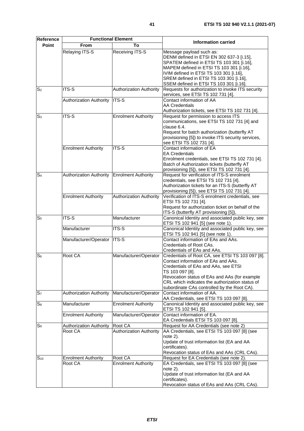**Reference** 

| <b>Point</b>    | From                           | To                             |                                                    |
|-----------------|--------------------------------|--------------------------------|----------------------------------------------------|
|                 | Relaying ITS-S                 | Receiving ITS-S                | Message payload such as:                           |
|                 |                                |                                | DENM defined in ETSI EN 302 637-3 [i.15],          |
|                 |                                |                                | SPATEM defined in ETSI TS 103 301 [i.16],          |
|                 |                                |                                | MAPEM defined in ETSI TS 103 301 [i.16],           |
|                 |                                |                                | IVIM defined in ETSI TS 103 301 [i.16],            |
|                 |                                |                                | SREM defined in ETSI TS 103 301 [i.16],            |
|                 |                                |                                | SSEM defined in ETSI TS 103 301 [i.16].            |
| S <sub>2</sub>  | ITS-S                          | <b>Authorization Authority</b> | Requests for authorization to invoke ITS security  |
|                 |                                |                                | services, see ETSI TS 102 731 [4].                 |
|                 |                                | ITS-S                          | Contact information of AA                          |
|                 | <b>Authorization Authority</b> |                                |                                                    |
|                 |                                |                                | <b>AA Credentials</b>                              |
|                 |                                |                                | Authorization tickets, see ETSI TS 102 731 [4].    |
| S <sub>3</sub>  | ITS-S                          | <b>Enrolment Authority</b>     | Request for permission to access ITS               |
|                 |                                |                                | communications, see ETSI TS 102 731 [4] and        |
|                 |                                |                                | clause 6.4.                                        |
|                 |                                |                                | Request for batch authorization (butterfly AT      |
|                 |                                |                                | provisioning [5]) to invoke ITS security services, |
|                 |                                |                                | see ETSI TS 102 731 [4].                           |
|                 | <b>Enrolment Authority</b>     | ITS-S                          | Contact information of EA                          |
|                 |                                |                                | <b>EA Credentials</b>                              |
|                 |                                |                                | Enrolment credentials, see ETSI TS 102 731 [4].    |
|                 |                                |                                | Batch of Authorization tickets (butterfly AT       |
|                 |                                |                                | provisioning [5]), see ETSI TS 102 731 [4].        |
| S <sub>4</sub>  | <b>Authorization Authority</b> | <b>Enrolment Authority</b>     | Request for verification of ITS-S enrolment        |
|                 |                                |                                | credentials, see ETSI TS 102 731 [4].              |
|                 |                                |                                | Authorization tickets for an ITS-S (butterfly AT   |
|                 |                                |                                | provisioning [5]), see ETSI TS 102 731 [4].        |
|                 | <b>Enrolment Authority</b>     | <b>Authorization Authority</b> | Verification of ITS-S enrolment credentials, see   |
|                 |                                |                                | ETSI TS 102 731 [4].                               |
|                 |                                |                                | Request for authorization ticket on behalf of the  |
|                 |                                |                                | ITS-S (butterfly AT provisioning [5]),             |
| S <sub>5</sub>  | $ITS-S$                        | Manufacturer                   | Canonical Identity and associated public key, see  |
|                 |                                |                                | ETSI TS 102 941 [5] (see note 1).                  |
|                 | Manufacturer                   | ITS-S                          | Canonical Identity and associated public key, see  |
|                 |                                |                                | ETSI TS 102 941 [5] (see note 1).                  |
|                 | Manufacturer/Operator          | <b>ITS-S</b>                   | Contact information of EAs and AAs.                |
|                 |                                |                                | Credentials of Root CAs.                           |
|                 |                                |                                | Credentials of EAs and AAs.                        |
| $S_6$           | Root CA                        | Manufacturer/Operator          | Credentials of Root CA, see ETSI TS 103 097 [8].   |
|                 |                                |                                | Contact information of EAs and AAs.                |
|                 |                                |                                | Credentials of EAs and AAs, see ETSI               |
|                 |                                |                                | TS 103 097 [8].                                    |
|                 |                                |                                | Revocation status of EAs and AAs (for example      |
|                 |                                |                                | CRL which indicates the authorization status of    |
|                 |                                |                                | subordinate CAs controlled by the Root CA).        |
| S <sub>7</sub>  | <b>Authorization Authority</b> | Manufacturer/Operator          | Contact information of AA.                         |
|                 |                                |                                | AA Credentials, see ETSI TS 103 097 [8].           |
| $S_8$           | Manufacturer                   | <b>Enrolment Authority</b>     | Canonical Identity and associated public key, see  |
|                 |                                |                                | ETSI TS 102 941 [5].                               |
|                 | <b>Enrolment Authority</b>     | Manufacturer/Operator          | Contact information of EA.                         |
|                 |                                |                                |                                                    |
|                 |                                |                                | EA Credentials ETSI TS 103 097 [8].                |
| S <sub>9</sub>  | <b>Authorization Authority</b> | Root CA                        | Request for AA Credentials (see note 2)            |
|                 | Root CA                        | <b>Authorization Authority</b> | AA Credentials, see ETSI TS 103 097 [8] (see       |
|                 |                                |                                | note $2$ ).                                        |
|                 |                                |                                | Update of trust information list (EA and AA        |
|                 |                                |                                | certificates).                                     |
|                 |                                |                                | Revocation status of EAs and AAs (CRL CAs).        |
| S <sub>10</sub> | <b>Enrolment Authority</b>     | Root CA                        | Request for EA Credentials (see note 2).           |
|                 | Root CA                        | <b>Enrolment Authority</b>     | EA Credentials, see ETSI TS 103 097 [8] (see       |
|                 |                                |                                | note $2$ ).                                        |
|                 |                                |                                | Update of trust information list (EA and AA        |
|                 |                                |                                | certificates).                                     |
|                 |                                |                                | Revocation status of EAs and AAs (CRL CAs).        |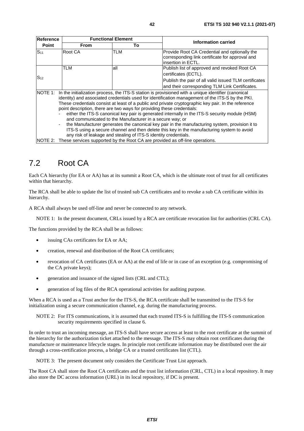<span id="page-41-0"></span>

| Reference                | <b>Functional Element</b>                                                                                                                                                                                                                                                                                                                   |     | Information carried                                                    |  |  |  |
|--------------------------|---------------------------------------------------------------------------------------------------------------------------------------------------------------------------------------------------------------------------------------------------------------------------------------------------------------------------------------------|-----|------------------------------------------------------------------------|--|--|--|
| <b>Point</b>             | <b>From</b>                                                                                                                                                                                                                                                                                                                                 | To  |                                                                        |  |  |  |
| $S_{11}$                 | Root CA                                                                                                                                                                                                                                                                                                                                     | TLM | Provide Root CA Credential and optionally the                          |  |  |  |
|                          |                                                                                                                                                                                                                                                                                                                                             |     | corresponding link certificate for approval and<br>linsertion in ECTL. |  |  |  |
|                          | TLM                                                                                                                                                                                                                                                                                                                                         | all | Publish list of approved and revoked Root CA                           |  |  |  |
| S <sub>12</sub>          |                                                                                                                                                                                                                                                                                                                                             |     | certificates (ECTL).                                                   |  |  |  |
|                          |                                                                                                                                                                                                                                                                                                                                             |     | Publish the pair of all valid issued TLM certificates                  |  |  |  |
|                          |                                                                                                                                                                                                                                                                                                                                             |     | and their corresponding TLM Link Certificates.                         |  |  |  |
|                          | NOTE 1: In the initialization process, the ITS-S station is provisioned with a unique identifier (canonical<br>identity) and associated credentials used for identification management of the ITS-S by the PKI.                                                                                                                             |     |                                                                        |  |  |  |
|                          | These credentials consist at least of a public and private cryptographic key pair. In the reference<br>point description, there are two ways for providing these credentials:<br>either the ITS-S canonical key pair is generated internally in the ITS-S security module (HSM)<br>and communicated to the Manufacturer in a secure way; or |     |                                                                        |  |  |  |
|                          |                                                                                                                                                                                                                                                                                                                                             |     |                                                                        |  |  |  |
|                          |                                                                                                                                                                                                                                                                                                                                             |     |                                                                        |  |  |  |
|                          |                                                                                                                                                                                                                                                                                                                                             |     |                                                                        |  |  |  |
| $\overline{\phantom{a}}$ | the Manufacturer generates the canonical key pair in the manufacturing system, provision it to                                                                                                                                                                                                                                              |     |                                                                        |  |  |  |
|                          | ITS-S using a secure channel and then delete this key in the manufacturing system to avoid                                                                                                                                                                                                                                                  |     |                                                                        |  |  |  |
|                          | any risk of leakage and stealing of ITS-S identity credentials.                                                                                                                                                                                                                                                                             |     |                                                                        |  |  |  |
| NOTE 2:                  | These services supported by the Root CA are provided as off-line operations.                                                                                                                                                                                                                                                                |     |                                                                        |  |  |  |

# 7.2 Root CA

Each CA hierarchy (for EA or AA) has at its summit a Root CA, which is the ultimate root of trust for all certificates within that hierarchy.

The RCA shall be able to update the list of trusted sub CA certificates and to revoke a sub CA certificate within its hierarchy.

A RCA shall always be used off-line and never be connected to any network.

NOTE 1: In the present document, CRLs issued by a RCA are certificate revocation list for authorities (CRL CA).

The functions provided by the RCA shall be as follows:

- issuing CAs certificates for EA or AA;
- creation, renewal and distribution of the Root CA certificates;
- revocation of CA certificates (EA or AA) at the end of life or in case of an exception (e.g. compromising of the CA private keys);
- generation and issuance of the signed lists (CRL and CTL);
- generation of log files of the RCA operational activities for auditing purpose.

When a RCA is used as a Trust anchor for the ITS-S, the RCA certificate shall be transmitted to the ITS-S for initialization using a secure communication channel, e.g. during the manufacturing process.

NOTE 2: For ITS communications, it is assumed that each trusted ITS-S is fulfilling the ITS-S communication security requirements specified in clause 6.

In order to trust an incoming message, an ITS-S shall have secure access at least to the root certificate at the summit of the hierarchy for the authorization ticket attached to the message. The ITS-S may obtain root certificates during the manufacture or maintenance lifecycle stages. In principle root certificate information may be distributed over the air through a cross-certification process, a bridge CA or a trusted certificates list (CTL).

NOTE 3: The present document only considers the Certificate Trust List approach.

The Root CA shall store the Root CA certificates and the trust list information (CRL, CTL) in a local repository. It may also store the DC access information (URL) in its local repository, if DC is present.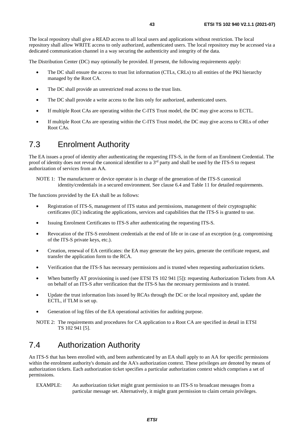<span id="page-42-0"></span>The local repository shall give a READ access to all local users and applications without restriction. The local repository shall allow WRITE access to only authorized, authenticated users. The local repository may be accessed via a dedicated communication channel in a way securing the authenticity and integrity of the data.

The Distribution Center (DC) may optionally be provided. If present, the following requirements apply:

- The DC shall ensure the access to trust list information (CTLs, CRLs) to all entities of the PKI hierarchy managed by the Root CA.
- The DC shall provide an unrestricted read access to the trust lists.
- The DC shall provide a write access to the lists only for authorized, authenticated users.
- If multiple Root CAs are operating within the C-ITS Trust model, the DC may give access to ECTL.
- If multiple Root CAs are operating within the C-ITS Trust model, the DC may give access to CRLs of other Root CAs.

### 7.3 Enrolment Authority

The EA issues a proof of identity after authenticating the requesting ITS-S, in the form of an Enrolment Credential. The proof of identity does not reveal the canonical identifier to a  $3<sup>rd</sup>$  party and shall be used by the ITS-S to request authorization of services from an AA.

NOTE 1: The manufacturer or device operator is in charge of the generation of the ITS-S canonical identity/credentials in a secured environment. See clause 6.4 and Table 11 for detailed requirements.

The functions provided by the EA shall be as follows:

- Registration of ITS-S, management of ITS status and permissions, management of their cryptographic certificates (EC) indicating the applications, services and capabilities that the ITS-S is granted to use.
- Issuing Enrolment Certificates to ITS-S after authenticating the requesting ITS-S.
- Revocation of the ITS-S enrolment credentials at the end of life or in case of an exception (e.g. compromising of the ITS-S private keys, etc.).
- Creation, renewal of EA certificates: the EA may generate the key pairs, generate the certificate request, and transfer the application form to the RCA.
- Verification that the ITS-S has necessary permissions and is trusted when requesting authorization tickets.
- When butterfly AT provisioning is used (see ETSI TS 102 941 [\[5](#page-5-0)]): requesting Authorization Tickets from AA on behalf of an ITS-S after verification that the ITS-S has the necessary permissions and is trusted.
- Update the trust information lists issued by RCAs through the DC or the local repository and, update the ECTL, if TLM is set up.
- Generation of log files of the EA operational activities for auditing purpose.

NOTE 2: The requirements and procedures for CA application to a Root CA are specified in detail in ETSI TS 102 941 [\[5](#page-5-0)].

# 7.4 Authorization Authority

An ITS-S that has been enrolled with, and been authenticated by an EA shall apply to an AA for specific permissions within the enrolment authority's domain and the AA's authorization context. These privileges are denoted by means of authorization tickets. Each authorization ticket specifies a particular authorization context which comprises a set of permissions.

EXAMPLE: An authorization ticket might grant permission to an ITS-S to broadcast messages from a particular message set. Alternatively, it might grant permission to claim certain privileges.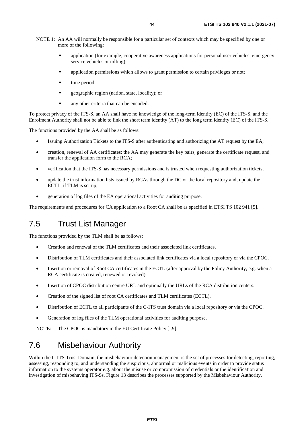- <span id="page-43-0"></span>NOTE 1: An AA will normally be responsible for a particular set of contexts which may be specified by one or more of the following:
	- application (for example, cooperative awareness applications for personal user vehicles, emergency service vehicles or tolling);
	- application permissions which allows to grant permission to certain privileges or not;
	- time period;
	- geographic region (nation, state, locality); or
	- any other criteria that can be encoded.

To protect privacy of the ITS-S, an AA shall have no knowledge of the long-term identity (EC) of the ITS-S, and the Enrolment Authority shall not be able to link the short term identity (AT) to the long term identity (EC) of the ITS-S.

The functions provided by the AA shall be as follows:

- Issuing Authorization Tickets to the ITS-S after authorizing and authorizing the AT request by the EA;
- creation, renewal of AA certificates: the AA may generate the key pairs, generate the certificate request, and transfer the application form to the RCA;
- verification that the ITS-S has necessary permissions and is trusted when requesting authorization tickets;
- update the trust information lists issued by RCAs through the DC or the local repository and, update the ECTL, if TLM is set up;
- generation of log files of the EA operational activities for auditing purpose.

The requirements and procedures for CA application to a Root CA shall be as specified in ETSI TS 102 941 [[5\]](#page-5-0).

# 7.5 Trust List Manager

The functions provided by the TLM shall be as follows:

- Creation and renewal of the TLM certificates and their associated link certificates.
- Distribution of TLM certificates and their associated link certificates via a local repository or via the CPOC.
- Insertion or removal of Root CA certificates in the ECTL (after approval by the Policy Authority, e.g. when a RCA certificate is created, renewed or revoked).
- Insertion of CPOC distribution centre URL and optionally the URLs of the RCA distribution centers.
- Creation of the signed list of root CA certificates and TLM certificates (ECTL).
- Distribution of ECTL to all participants of the C-ITS trust domain via a local repository or via the CPOC.
- Generation of log files of the TLM operational activities for auditing purpose.

NOTE: The CPOC is mandatory in the EU Certificate Policy [\[i.9](#page-6-0)].

# 7.6 Misbehaviour Authority

Within the C-ITS Trust Domain, the misbehaviour detection management is the set of processes for detecting, reporting, assessing, responding to, and understanding the suspicious, abnormal or malicious events in order to provide status information to the systems operator e.g. about the misuse or compromission of credentials or the identification and investigation of misbehaving ITS-Ss. Figure 13 describes the processes supported by the Misbehaviour Authority.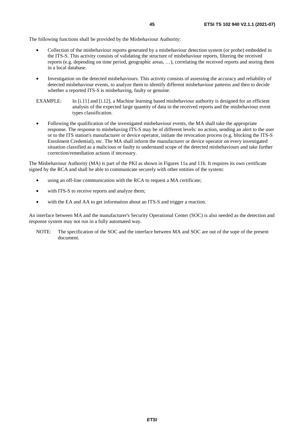The following functions shall be provided by the Misbehaviour Authority:

- Collection of the misbehaviour reports generated by a misbehaviour detection system (or probe) embedded in the ITS-S. This activity consists of validating the structure of misbehaviour reports, filtering the received reports (e.g. depending on time period, geographic areas, …), correlating the received reports and storing them in a local database.
- Investigation on the detected misbehaviours. This activity consists of assessing the accuracy and reliability of detected misbehaviour events, to analyze them to identify different misbehaviour patterns and then to decide whether a reported ITS-S is misbehaving, faulty or genuine.
- EXAMPLE: In [[i.11](#page-6-0)] and [\[i.12](#page-6-0)], a Machine learning based misbehaviour authority is designed for an efficient analysis of the expected large quantity of data in the received reports and the misbehaviour event types classification.
- Following the qualification of the investigated misbehaviour events, the MA shall take the appropriate response. The response to misbehaving ITS-S may be of different levels: no action, sending an alert to the user or to the ITS station's manufacturer or device operator, initiate the revocation process (e.g. blocking the ITS-S Enrolment Credential), etc. The MA shall inform the manufacturer or device operator on every investigated situation classified as a malicious or faulty to understand scope of the detected misbehaviours and take further correction/remediation actions if necessary.

The Misbehaviour Authority (MA) is part of the PKI as shown in Figures 11a and 11b. It requires its own certificate signed by the RCA and shall be able to communicate securely with other entities of the system:

- using an off-line communication with the RCA to request a MA certificate;
- with ITS-S to receive reports and analyze them;
- with the EA and AA to get information about an ITS-S and trigger a reaction.

An interface between MA and the manufacturer's Security Operational Center (SOC) is also needed as the detection and response system may not run in a fully automated way.

NOTE: The specification of the SOC and the interface between MA and SOC are out of the sope of the present document.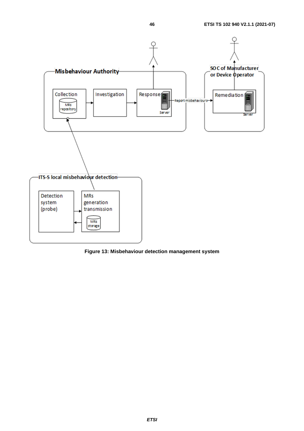

**Figure 13: Misbehaviour detection management system**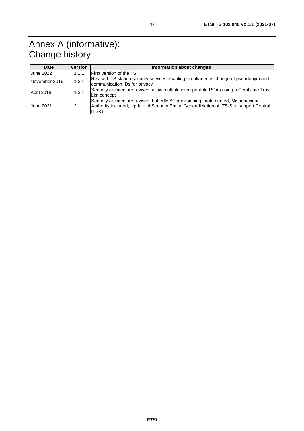# <span id="page-46-0"></span>Annex A (informative): Change history

| Date             | <b>Version</b> | Information about changes                                                                                                                                                                 |
|------------------|----------------|-------------------------------------------------------------------------------------------------------------------------------------------------------------------------------------------|
| <b>June 2012</b> | 1.1.1          | <b>First version of the TS</b>                                                                                                                                                            |
| November 2016    | 1.2.1          | Revised ITS station security services enabling simultaneous change of pseudonym and<br>communication IDs for privacy                                                                      |
| April 2018       | 1.3.1          | Security architecture revised; allow multiple interoperable RCAs using a Certificate Trust<br>List concept                                                                                |
| <b>June 2021</b> | 2.1.1          | Security architecture revised; butterfly AT provisioning implemented; Misbehaviour<br>Authority included; Update of Security Entity; Generaliziation of ITS-S to support Central<br>ITS-S |